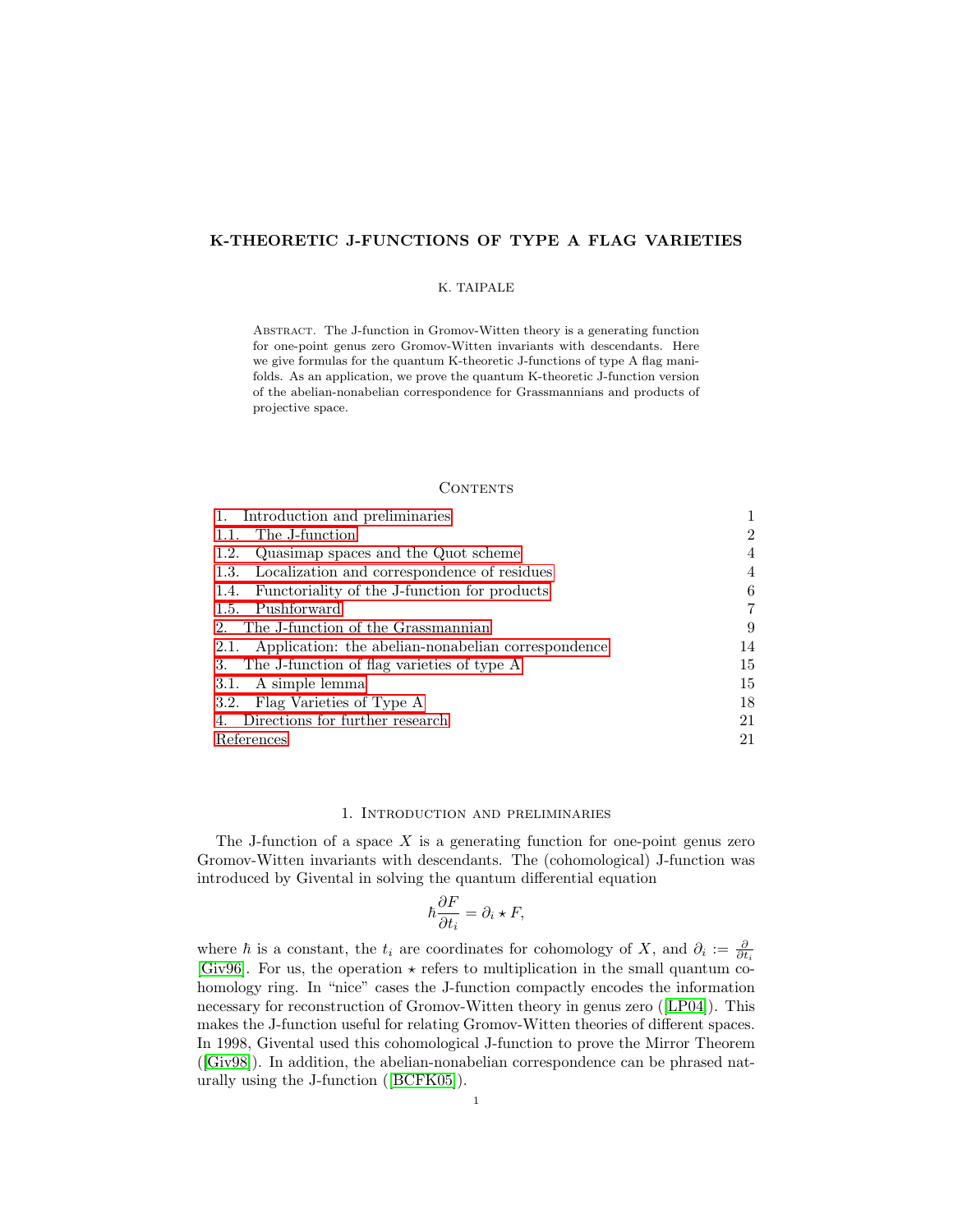## K-THEORETIC J-FUNCTIONS OF TYPE A FLAG VARIETIES

### K. TAIPALE

Abstract. The J-function in Gromov-Witten theory is a generating function for one-point genus zero Gromov-Witten invariants with descendants. Here we give formulas for the quantum K-theoretic J-functions of type A flag manifolds. As an application, we prove the quantum K-theoretic J-function version of the abelian-nonabelian correspondence for Grassmannians and products of projective space.

### **CONTENTS**

| 1. Introduction and preliminaries                       |    |
|---------------------------------------------------------|----|
| The J-function<br>1.1.                                  | 2  |
| Quasimap spaces and the Quot scheme<br>1.2.             | 4  |
| 1.3. Localization and correspondence of residues        | 4  |
| 1.4. Functoriality of the J-function for products       | 6  |
| 1.5. Pushforward                                        | 7  |
| 2. The J-function of the Grassmannian                   | 9  |
| 2.1. Application: the abelian-nonabelian correspondence | 14 |
| 3. The J-function of flag varieties of type A           | 15 |
| 3.1. A simple lemma                                     | 15 |
| 3.2. Flag Varieties of Type A                           | 18 |
| 4. Directions for further research                      | 21 |
| References                                              |    |

### 1. Introduction and preliminaries

<span id="page-0-0"></span>The J-function of a space  $X$  is a generating function for one-point genus zero Gromov-Witten invariants with descendants. The (cohomological) J-function was introduced by Givental in solving the quantum differential equation

$$
\hbar \frac{\partial F}{\partial t_i} = \partial_i \star F,
$$

where  $\hbar$  is a constant, the  $t_i$  are coordinates for cohomology of X, and  $\partial_i := \frac{\partial}{\partial t_i}$ [\[Giv96\]](#page-21-0). For us, the operation  $\star$  refers to multiplication in the small quantum cohomology ring. In "nice" cases the J-function compactly encodes the information necessary for reconstruction of Gromov-Witten theory in genus zero ([\[LP04\]](#page-22-0)). This makes the J-function useful for relating Gromov-Witten theories of different spaces. In 1998, Givental used this cohomological J-function to prove the Mirror Theorem ([\[Giv98\]](#page-21-1)). In addition, the abelian-nonabelian correspondence can be phrased naturally using the J-function ([\[BCFK05\]](#page-21-2)).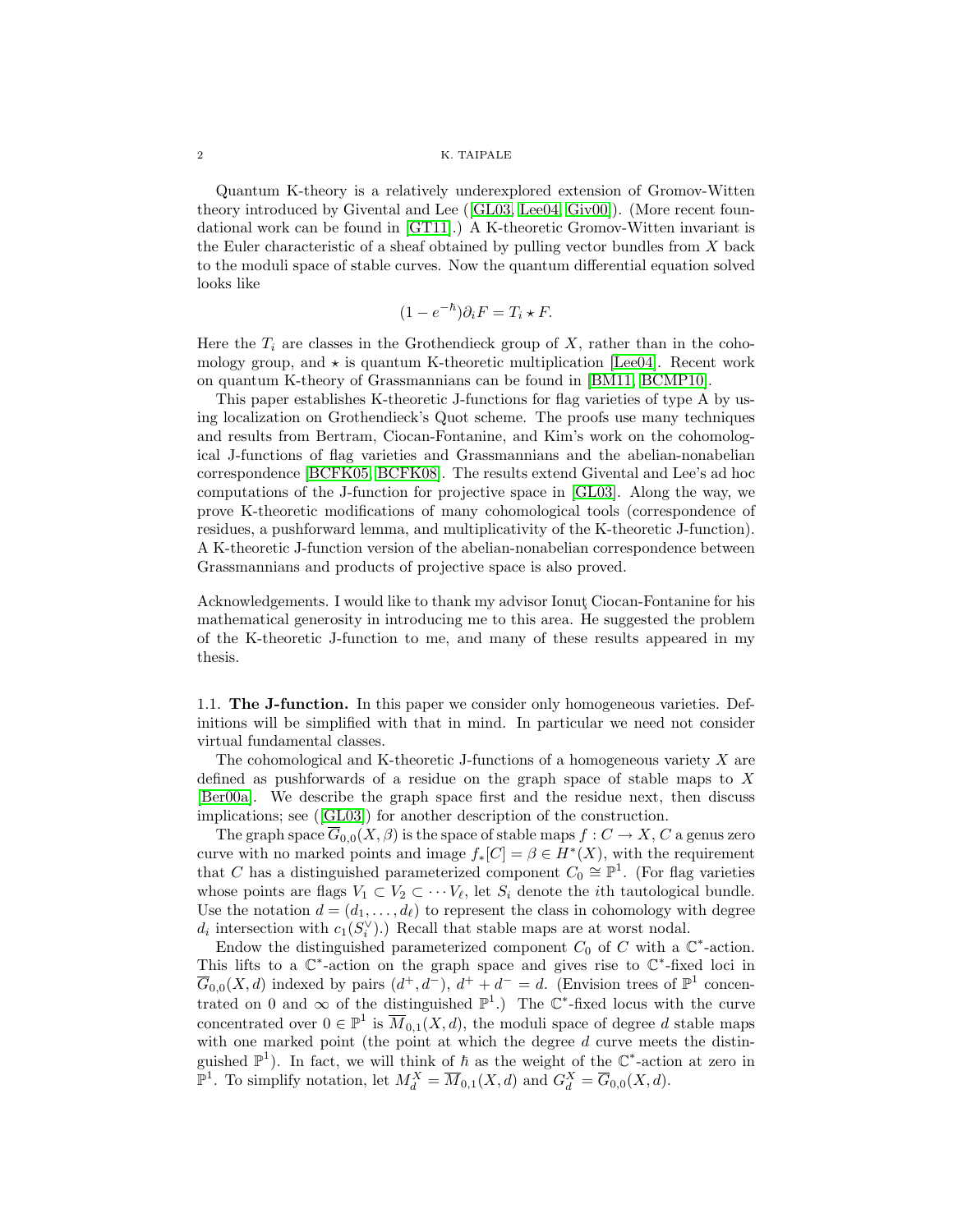#### $\,$  2  $\,$  K. TAIPALE

Quantum K-theory is a relatively underexplored extension of Gromov-Witten theory introduced by Givental and Lee ([\[GL03,](#page-21-3) [Lee04,](#page-21-4) [Giv00\]](#page-21-5)). (More recent foundational work can be found in [\[GT11\]](#page-21-6).) A K-theoretic Gromov-Witten invariant is the Euler characteristic of a sheaf obtained by pulling vector bundles from X back to the moduli space of stable curves. Now the quantum differential equation solved looks like

$$
(1 - e^{-\hbar})\partial_i F = T_i \star F.
$$

Here the  $T_i$  are classes in the Grothendieck group of X, rather than in the cohomology group, and  $\star$  is quantum K-theoretic multiplication [\[Lee04\]](#page-21-4). Recent work on quantum K-theory of Grassmannians can be found in [\[BM11,](#page-21-7) [BCMP10\]](#page-21-8).

This paper establishes K-theoretic J-functions for flag varieties of type A by using localization on Grothendieck's Quot scheme. The proofs use many techniques and results from Bertram, Ciocan-Fontanine, and Kim's work on the cohomological J-functions of flag varieties and Grassmannians and the abelian-nonabelian correspondence [\[BCFK05,](#page-21-2) [BCFK08\]](#page-21-9). The results extend Givental and Lee's ad hoc computations of the J-function for projective space in [\[GL03\]](#page-21-3). Along the way, we prove K-theoretic modifications of many cohomological tools (correspondence of residues, a pushforward lemma, and multiplicativity of the K-theoretic J-function). A K-theoretic J-function version of the abelian-nonabelian correspondence between Grassmannians and products of projective space is also proved.

Acknowledgements. I would like to thank my advisor Ionut Ciocan-Fontanine for his mathematical generosity in introducing me to this area. He suggested the problem of the K-theoretic J-function to me, and many of these results appeared in my thesis.

<span id="page-1-0"></span>1.1. The J-function. In this paper we consider only homogeneous varieties. Definitions will be simplified with that in mind. In particular we need not consider virtual fundamental classes.

The cohomological and K-theoretic J-functions of a homogeneous variety  $X$  are defined as pushforwards of a residue on the graph space of stable maps to X [\[Ber00a\]](#page-21-10). We describe the graph space first and the residue next, then discuss implications; see ([\[GL03\]](#page-21-3)) for another description of the construction.

The graph space  $\overline{G}_{0,0}(X,\beta)$  is the space of stable maps  $f: C \to X, C$  a genus zero curve with no marked points and image  $f_*[C] = \beta \in H^*(X)$ , with the requirement that C has a distinguished parameterized component  $C_0 \cong \mathbb{P}^1$ . (For flag varieties whose points are flags  $V_1 \subset V_2 \subset \cdots V_{\ell}$ , let  $S_i$  denote the *i*th tautological bundle. Use the notation  $d = (d_1, \ldots, d_\ell)$  to represent the class in cohomology with degree  $d_i$  intersection with  $c_1(S_i^{\vee})$ .) Recall that stable maps are at worst nodal.

Endow the distinguished parameterized component  $C_0$  of C with a  $\mathbb{C}^*$ -action. This lifts to a  $\mathbb{C}^*$ -action on the graph space and gives rise to  $\mathbb{C}^*$ -fixed loci in  $\overline{G}_{0,0}(X,d)$  indexed by pairs  $(d^+,d^-), d^+ + d^- = d$ . (Envision trees of  $\mathbb{P}^1$  concentrated on 0 and  $\infty$  of the distinguished  $\mathbb{P}^1$ .) The  $\mathbb{C}^*$ -fixed locus with the curve concentrated over  $0 \in \mathbb{P}^1$  is  $\overline{M}_{0,1}(X,d)$ , the moduli space of degree d stable maps with one marked point (the point at which the degree  $d$  curve meets the distinguished  $\mathbb{P}^1$ ). In fact, we will think of  $\hbar$  as the weight of the  $\mathbb{C}^*$ -action at zero in  $\mathbb{P}^1$ . To simplify notation, let  $M_d^X = \overline{M}_{0,1}(X,d)$  and  $G_d^X = \overline{G}_{0,0}(X,d)$ .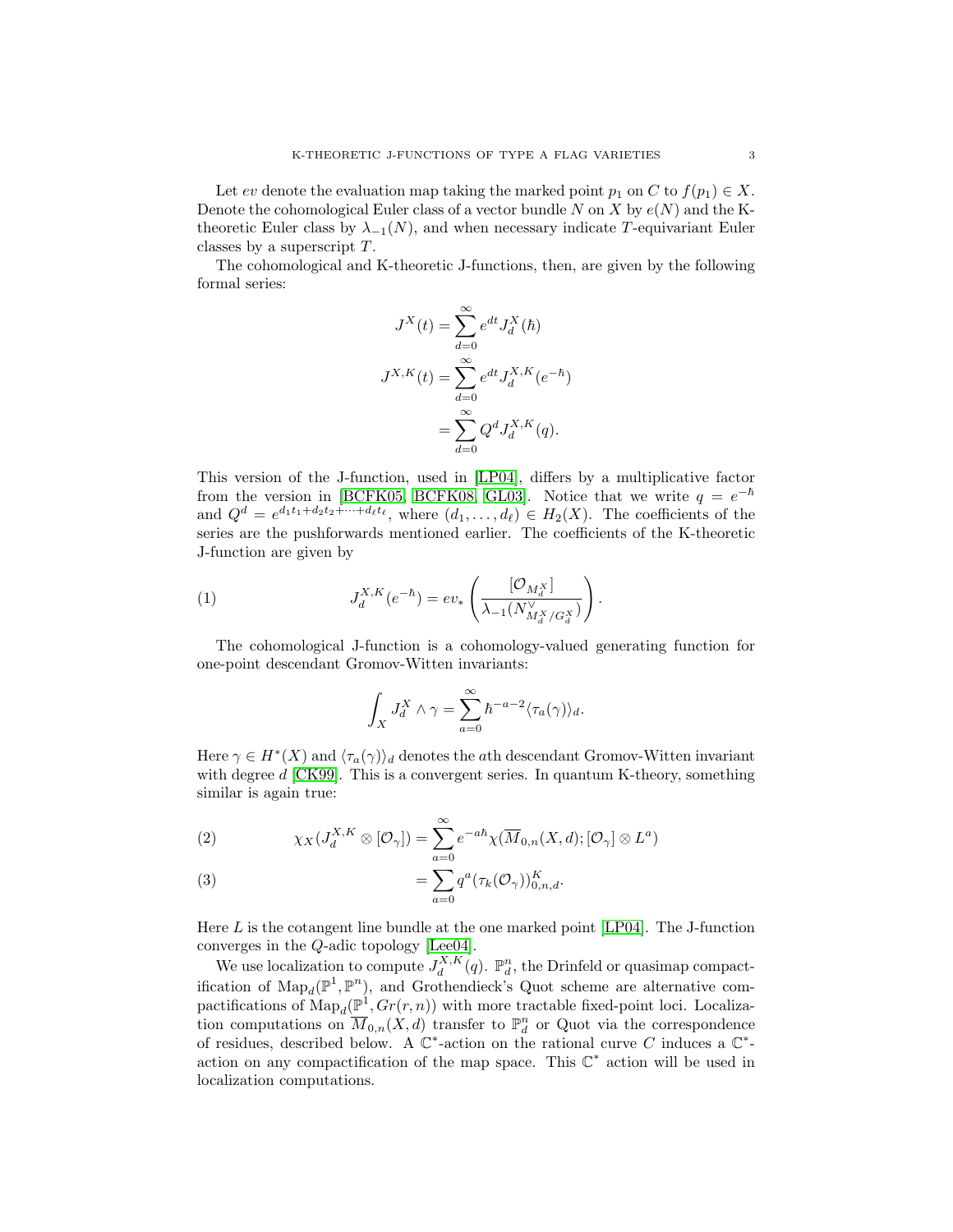Let ev denote the evaluation map taking the marked point  $p_1$  on C to  $f(p_1) \in X$ . Denote the cohomological Euler class of a vector bundle N on X by  $e(N)$  and the Ktheoretic Euler class by  $\lambda_{-1}(N)$ , and when necessary indicate T-equivariant Euler classes by a superscript T.

The cohomological and K-theoretic J-functions, then, are given by the following formal series:

$$
J^X(t) = \sum_{d=0}^{\infty} e^{dt} J_d^X(\hbar)
$$

$$
J^{X,K}(t) = \sum_{d=0}^{\infty} e^{dt} J_d^{X,K}(e^{-\hbar})
$$

$$
= \sum_{d=0}^{\infty} Q^d J_d^{X,K}(q).
$$

This version of the J-function, used in [\[LP04\]](#page-22-0), differs by a multiplicative factor from the version in [\[BCFK05,](#page-21-2) [BCFK08,](#page-21-9) [GL03\]](#page-21-3). Notice that we write  $q = e^{-\hbar}$ and  $Q^d = e^{d_1t_1 + d_2t_2 + \dots + d_\ell t_\ell}$ , where  $(d_1, \dots, d_\ell) \in H_2(X)$ . The coefficients of the series are the pushforwards mentioned earlier. The coefficients of the K-theoretic J-function are given by

(1) 
$$
J_d^{X,K}(e^{-\hbar}) = ev_*\left(\frac{[\mathcal{O}_{M_d^X}]}{\lambda_{-1}(N_{M_d^X/G_d^X}^V)}\right).
$$

The cohomological J-function is a cohomology-valued generating function for one-point descendant Gromov-Witten invariants:

$$
\int_X J_d^X \wedge \gamma = \sum_{a=0}^{\infty} \hbar^{-a-2} \langle \tau_a(\gamma) \rangle_d.
$$

Here  $\gamma \in H^*(X)$  and  $\langle \tau_a(\gamma) \rangle_d$  denotes the *a*th descendant Gromov-Witten invariant with degree  $d$  [\[CK99\]](#page-21-11). This is a convergent series. In quantum K-theory, something similar is again true:

(2) 
$$
\chi_X(J_d^{X,K} \otimes [\mathcal{O}_\gamma]) = \sum_{a=0}^{\infty} e^{-ah} \chi(\overline{M}_{0,n}(X,d); [\mathcal{O}_\gamma] \otimes L^a)
$$

(3) 
$$
= \sum_{a=0} q^a(\tau_k(\mathcal{O}_\gamma))_{0,n,d}^K.
$$

Here L is the cotangent line bundle at the one marked point [\[LP04\]](#page-22-0). The J-function converges in the Q-adic topology [\[Lee04\]](#page-21-4).

We use localization to compute  $J_d^{X,K}(q)$ .  $\mathbb{P}_d^n$ , the Drinfeld or quasimap compact-<br>nation of Map  $(\mathbb{P}^1, \mathbb{P}^n)$  and Custombioglic Quatientee are alternative semification of  $\text{Map}_d(\mathbb{P}^1, \mathbb{P}^n)$ , and Grothendieck's Quot scheme are alternative compactifications of  $\text{Map}_d(\mathbb{P}^1, Gr(r,n))$  with more tractable fixed-point loci. Localization computations on  $\overline{M}_{0,n}(X,d)$  transfer to  $\mathbb{P}^n_d$  or Quot via the correspondence of residues, described below. A  $\mathbb{C}^*$ -action on the rational curve C induces a  $\mathbb{C}^*$ action on any compactification of the map space. This  $\mathbb{C}^*$  action will be used in localization computations.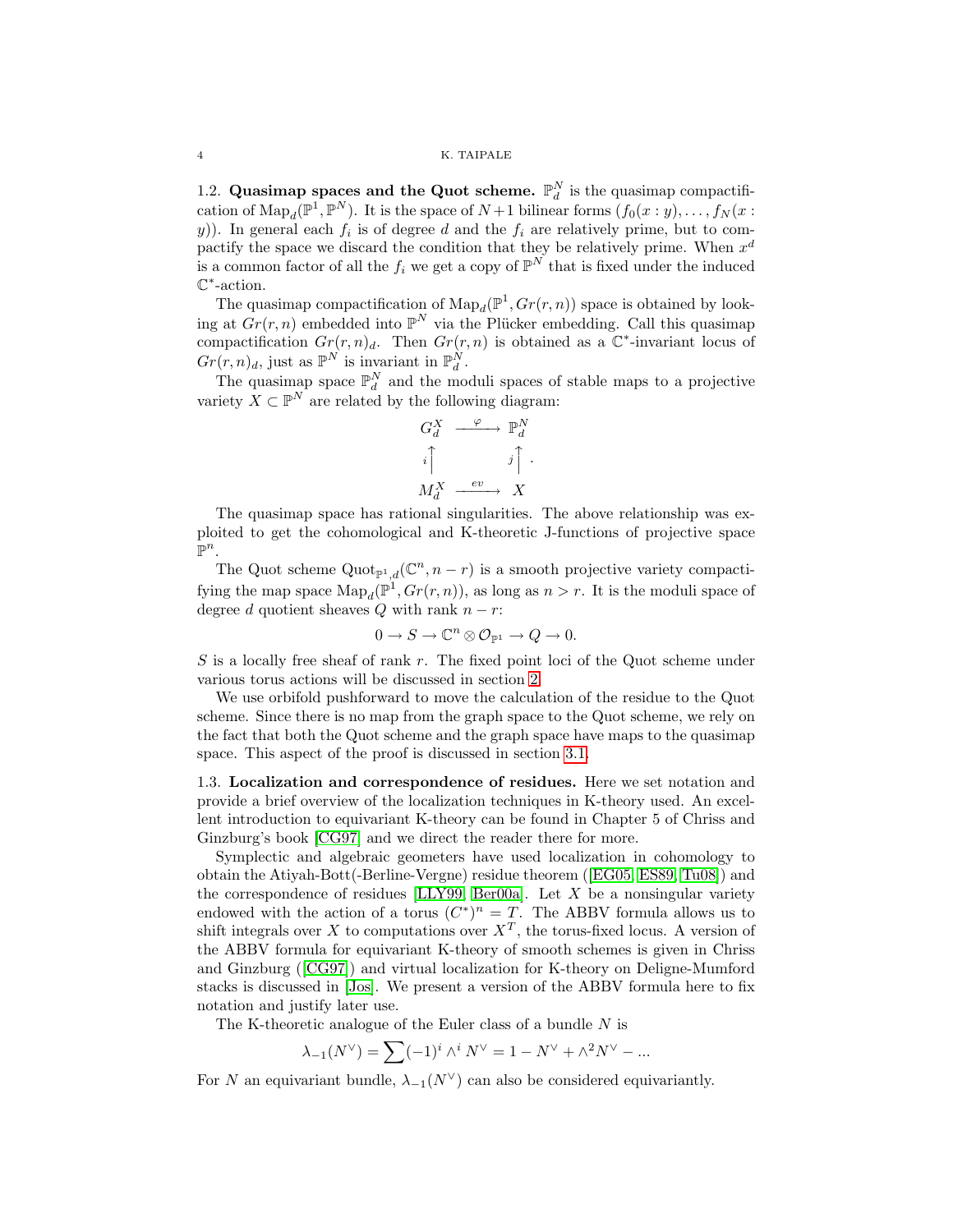### 4 K. TAIPALE

<span id="page-3-0"></span>1.2. Quasimap spaces and the Quot scheme.  $\mathbb{P}_{d}^{N}$  is the quasimap compactification of  $\text{Map}_d(\mathbb{P}^1, \mathbb{P}^N)$ . It is the space of  $N+1$  bilinear forms  $(f_0(x:y), \ldots, f_N(x:y))$ y)). In general each  $f_i$  is of degree d and the  $f_i$  are relatively prime, but to compactify the space we discard the condition that they be relatively prime. When  $x^d$ is a common factor of all the  $f_i$  we get a copy of  $\mathbb{P}^N$  that is fixed under the induced C ∗ -action.

The quasimap compactification of  $\text{Map}_d(\mathbb{P}^1, Gr(r,n))$  space is obtained by looking at  $Gr(r, n)$  embedded into  $\mathbb{P}^N$  via the Plücker embedding. Call this quasimap compactification  $Gr(r, n)<sub>d</sub>$ . Then  $Gr(r, n)$  is obtained as a  $\mathbb{C}^*$ -invariant locus of  $Gr(r, n)<sub>d</sub>$ , just as  $\mathbb{P}^N$  is invariant in  $\mathbb{P}^N_d$ .

The quasimap space  $\mathbb{P}_d^N$  and the moduli spaces of stable maps to a projective variety  $X \subset \mathbb{P}^N$  are related by the following diagram:



The quasimap space has rational singularities. The above relationship was exploited to get the cohomological and K-theoretic J-functions of projective space  $\mathbb{P}^n$ .

The Quot scheme  $\text{Quot}_{\mathbb{P}^1,d}(\mathbb{C}^n,n-r)$  is a smooth projective variety compactifying the map space  $\text{Map}_d(\mathbb{P}^1, Gr(r,n))$ , as long as  $n > r$ . It is the moduli space of degree d quotient sheaves Q with rank  $n - r$ :

$$
0 \to S \to \mathbb{C}^n \otimes \mathcal{O}_{\mathbb{P}^1} \to Q \to 0.
$$

S is a locally free sheaf of rank r. The fixed point loci of the Quot scheme under various torus actions will be discussed in section [2.](#page-8-0)

We use orbifold pushforward to move the calculation of the residue to the Quot scheme. Since there is no map from the graph space to the Quot scheme, we rely on the fact that both the Quot scheme and the graph space have maps to the quasimap space. This aspect of the proof is discussed in section [3.1.](#page-14-1)

<span id="page-3-1"></span>1.3. Localization and correspondence of residues. Here we set notation and provide a brief overview of the localization techniques in K-theory used. An excellent introduction to equivariant K-theory can be found in Chapter 5 of Chriss and Ginzburg's book [\[CG97\]](#page-21-12) and we direct the reader there for more.

Symplectic and algebraic geometers have used localization in cohomology to obtain the Atiyah-Bott(-Berline-Vergne) residue theorem ([\[EG05,](#page-21-13) [ES89,](#page-21-14) [Tu08\]](#page-22-1)) and the correspondence of residues  $[LLY99, Ber00a]$  $[LLY99, Ber00a]$ . Let X be a nonsingular variety endowed with the action of a torus  $(C^*)^n = T$ . The ABBV formula allows us to shift integrals over X to computations over  $X<sup>T</sup>$ , the torus-fixed locus. A version of the ABBV formula for equivariant K-theory of smooth schemes is given in Chriss and Ginzburg ([\[CG97\]](#page-21-12)) and virtual localization for K-theory on Deligne-Mumford stacks is discussed in [\[Jos\]](#page-21-16). We present a version of the ABBV formula here to fix notation and justify later use.

The K-theoretic analogue of the Euler class of a bundle  $N$  is

$$
\lambda_{-1}(N^{\vee}) = \sum (-1)^{i} \wedge^{i} N^{\vee} = 1 - N^{\vee} + \wedge^{2} N^{\vee} - \dots
$$

For N an equivariant bundle,  $\lambda_{-1}(N^{\vee})$  can also be considered equivariantly.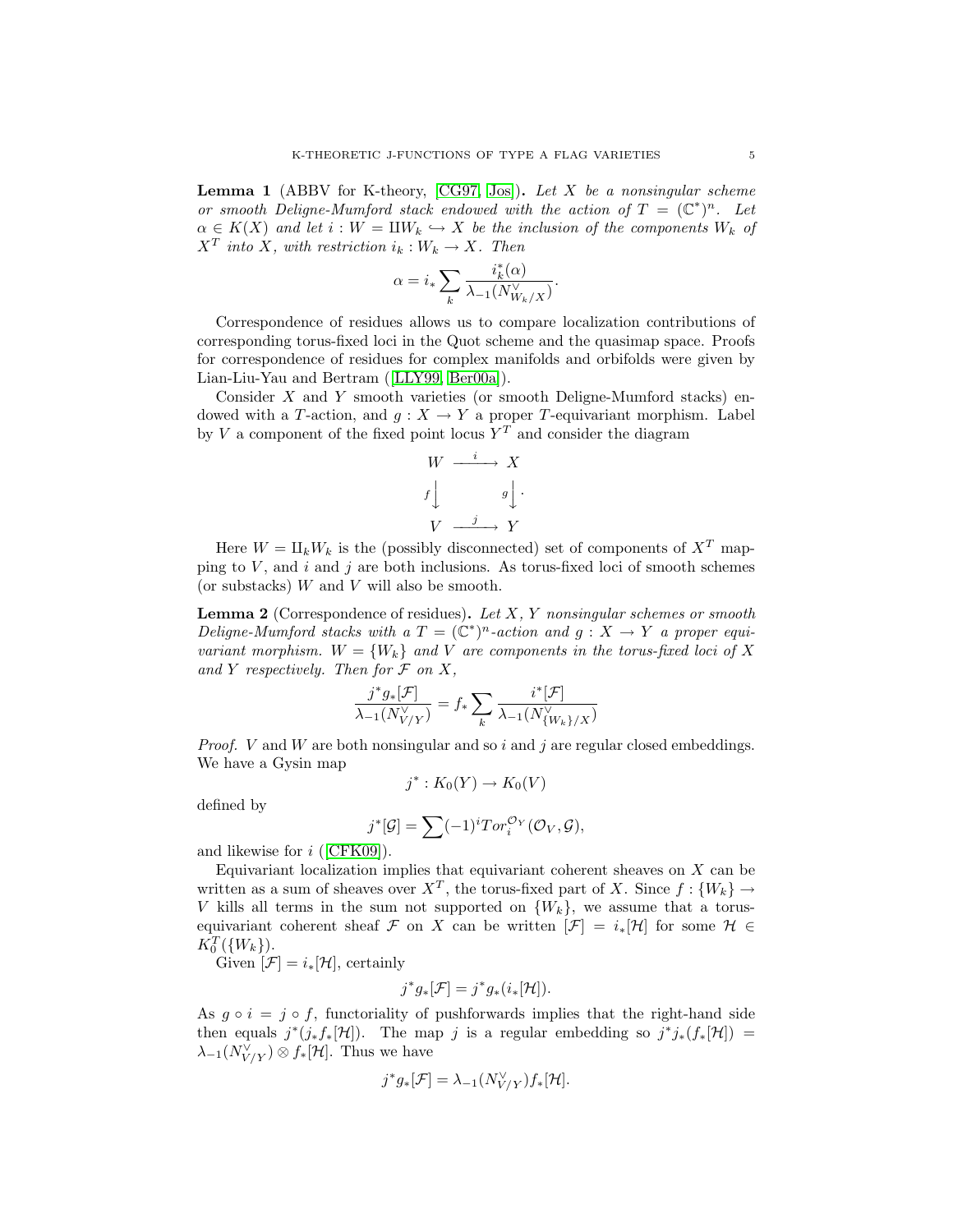**Lemma 1** (ABBV for K-theory,  $[CG97, Jos]$  $[CG97, Jos]$ ). Let X be a nonsingular scheme or smooth Deligne-Mumford stack endowed with the action of  $T = (\mathbb{C}^*)^n$ . Let  $\alpha \in K(X)$  and let  $i: W = \mathbb{I}W_k \hookrightarrow X$  be the inclusion of the components  $W_k$  of  $X^T$  into X, with restriction  $i_k: W_k \to X$ . Then

$$
\alpha = i_* \sum_k \frac{i_k^*(\alpha)}{\lambda_{-1}(N_{{W_k}/X}^{\vee})}.
$$

Correspondence of residues allows us to compare localization contributions of corresponding torus-fixed loci in the Quot scheme and the quasimap space. Proofs for correspondence of residues for complex manifolds and orbifolds were given by Lian-Liu-Yau and Bertram ([\[LLY99,](#page-21-15) [Ber00a\]](#page-21-10)).

Consider  $X$  and  $Y$  smooth varieties (or smooth Deligne-Mumford stacks) endowed with a T-action, and  $g: X \to Y$  a proper T-equivariant morphism. Label by V a component of the fixed point locus  $Y<sup>T</sup>$  and consider the diagram

$$
W \xrightarrow{i} X
$$
  
 $f \downarrow g \downarrow$   
 $V \xrightarrow{j} Y$ 

Here  $W = \prod_k W_k$  is the (possibly disconnected) set of components of  $X^T$  mapping to  $V$ , and  $i$  and  $j$  are both inclusions. As torus-fixed loci of smooth schemes (or substacks)  $\boldsymbol{W}$  and  $\boldsymbol{V}$  will also be smooth.

<span id="page-4-0"></span>**Lemma 2** (Correspondence of residues). Let  $X$ ,  $Y$  nonsingular schemes or smooth Deligne-Mumford stacks with a  $T = (\mathbb{C}^*)^n$ -action and  $g: X \to Y$  a proper equivariant morphism.  $W = \{W_k\}$  and V are components in the torus-fixed loci of X and Y respectively. Then for  $\mathcal F$  on  $X$ ,

$$
\frac{j^*g_*[\mathcal{F}]}{\lambda_{-1}(N^\vee_{V/Y})}=f_*\sum_k\frac{i^*[\mathcal{F}]}{\lambda_{-1}(N^\vee_{\{W_k\}/X})}
$$

*Proof.* V and W are both nonsingular and so i and j are regular closed embeddings. We have a Gysin map

$$
j^*: K_0(Y) \to K_0(V)
$$

defined by

$$
j^*[\mathcal{G}] = \sum (-1)^i Tor_i^{\mathcal{O}_Y}(\mathcal{O}_V, \mathcal{G}),
$$

and likewise for i ([\[CFK09\]](#page-21-17)).

Equivariant localization implies that equivariant coherent sheaves on  $X$  can be written as a sum of sheaves over  $X^T$ , the torus-fixed part of X. Since  $f: \{W_k\} \to$ V kills all terms in the sum not supported on  $\{W_k\}$ , we assume that a torusequivariant coherent sheaf F on X can be written  $[\mathcal{F}] = i_*[\mathcal{H}]$  for some  $\mathcal{H} \in$  $K_0^T({W_k})$ ).

Given  $[\mathcal{F}] = i_*[\mathcal{H}]$ , certainly

$$
j^*g_*[\mathcal{F}] = j^*g_*\left(i_*[\mathcal{H}]\right).
$$

As  $q \circ i = j \circ f$ , functoriality of pushforwards implies that the right-hand side then equals  $j^*(j_*f_*[H])$ . The map j is a regular embedding so  $j^*j_*(f_*[H]) =$  $\lambda_{-1}(N_{V/Y}^{\vee})\otimes f_*[{\mathcal H}]$ . Thus we have

$$
j^*g_*[\mathcal{F}] = \lambda_{-1}(N_{V/Y}^{\vee})f_*[\mathcal{H}].
$$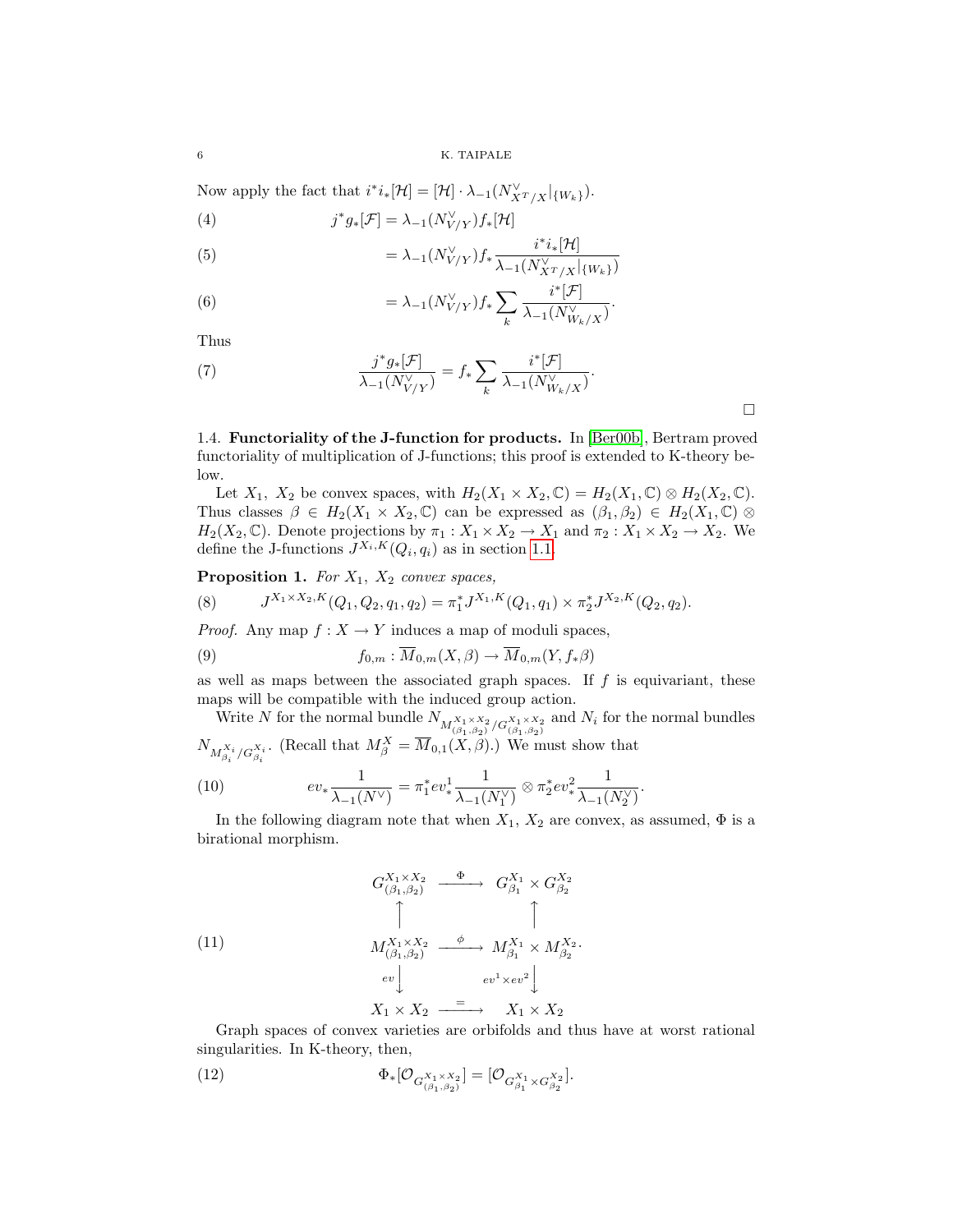Now apply the fact that  $i^*i_*[H] = [\mathcal{H}] \cdot \lambda_{-1}(N_{X^T/X}^{\vee}|_{\{W_k\}})$ .

(4) 
$$
j^*g_*[\mathcal{F}] = \lambda_{-1}(N_{V/Y}^{\vee})f_*[\mathcal{H}]
$$

(5) 
$$
= \lambda_{-1}(N_{V/Y}^{\vee})f_* \frac{i^*i_*[\mathcal{H}]}{\lambda_{-1}(N_{XT/X}^{\vee}|_{\{W_k\}})}
$$

(6) 
$$
= \lambda_{-1}(N_{V/Y}^{\vee})f_*\sum_{k}\frac{i^*[\mathcal{F}]}{\lambda_{-1}(N_{W_k/X}^{\vee})}.
$$

Thus

(7) 
$$
\frac{j^* g_*[\mathcal{F}]}{\lambda_{-1}(N_{V/Y}^{\vee})} = f_* \sum_k \frac{i^*[\mathcal{F}]}{\lambda_{-1}(N_{W_k/X}^{\vee})}.
$$

<span id="page-5-0"></span>1.4. Functoriality of the J-function for products. In [\[Ber00b\]](#page-21-18), Bertram proved functoriality of multiplication of J-functions; this proof is extended to K-theory below.

Let  $X_1$ ,  $X_2$  be convex spaces, with  $H_2(X_1 \times X_2, \mathbb{C}) = H_2(X_1, \mathbb{C}) \otimes H_2(X_2, \mathbb{C})$ . Thus classes  $\beta \in H_2(X_1 \times X_2, \mathbb{C})$  can be expressed as  $(\beta_1, \beta_2) \in H_2(X_1, \mathbb{C})$  ⊗  $H_2(X_2, \mathbb{C})$ . Denote projections by  $\pi_1: X_1 \times X_2 \to X_1$  and  $\pi_2: X_1 \times X_2 \to X_2$ . We define the J-functions  $J^{X_i,K}(Q_i, q_i)$  as in section [1.1.](#page-1-0)

# Proposition 1. For  $X_1$ ,  $X_2$  convex spaces,

(8) 
$$
J^{X_1 \times X_2, K}(Q_1, Q_2, q_1, q_2) = \pi_1^* J^{X_1, K}(Q_1, q_1) \times \pi_2^* J^{X_2, K}(Q_2, q_2).
$$

*Proof.* Any map  $f: X \to Y$  induces a map of moduli spaces,

(9) 
$$
f_{0,m}: \overline{M}_{0,m}(X,\beta) \to \overline{M}_{0,m}(Y,f_*\beta)
$$

as well as maps between the associated graph spaces. If  $f$  is equivariant, these maps will be compatible with the induced group action.

Write N for the normal bundle  $N_{M_{(\beta_1,\beta_2)}^{X_1\times X_2}/G_{(\beta_1,\beta_2)}^{X_1\times X_2}}$  and  $N_i$  for the normal bundles  $N_{M^{X_i}_{\beta_i}/G^{X_i}_{\beta_i}}$ . (Recall that  $M^X_{\beta} = \overline{M}_{0,1}(X,\beta)$ .) We must show that

(10) 
$$
ev_* \frac{1}{\lambda_{-1}(N^{\vee})} = \pi_1^* ev^1_* \frac{1}{\lambda_{-1}(N_1^{\vee})} \otimes \pi_2^* ev^2_* \frac{1}{\lambda_{-1}(N_2^{\vee})}.
$$

In the following diagram note that when  $X_1$ ,  $X_2$  are convex, as assumed,  $\Phi$  is a birational morphism.

<span id="page-5-1"></span>(11)  
\n
$$
\begin{array}{ccc}\nG_{(\beta_1,\beta_2)}^{X_1 \times X_2} & \xrightarrow{\Phi} & G_{\beta_1}^{X_1} \times G_{\beta_2}^{X_2} \\
\uparrow & & \uparrow & \\
M_{(\beta_1,\beta_2)}^{X_1 \times X_2} & \xrightarrow{\phi} & M_{\beta_1}^{X_1} \times M_{\beta_2}^{X_2} \\
\downarrow & & \downarrow \\
\downarrow & & \downarrow \\
X_1 \times X_2 & \xrightarrow{\hspace{2cm}} & X_1 \times X_2\n\end{array}
$$

Graph spaces of convex varieties are orbifolds and thus have at worst rational singularities. In K-theory, then,

(12) 
$$
\Phi_*[\mathcal{O}_{G_{(\beta_1,\beta_2)}^{X_1\times X_2}}]=[\mathcal{O}_{G_{\beta_1}^{X_1}\times G_{\beta_2}^{X_2}}].
$$

 $\Box$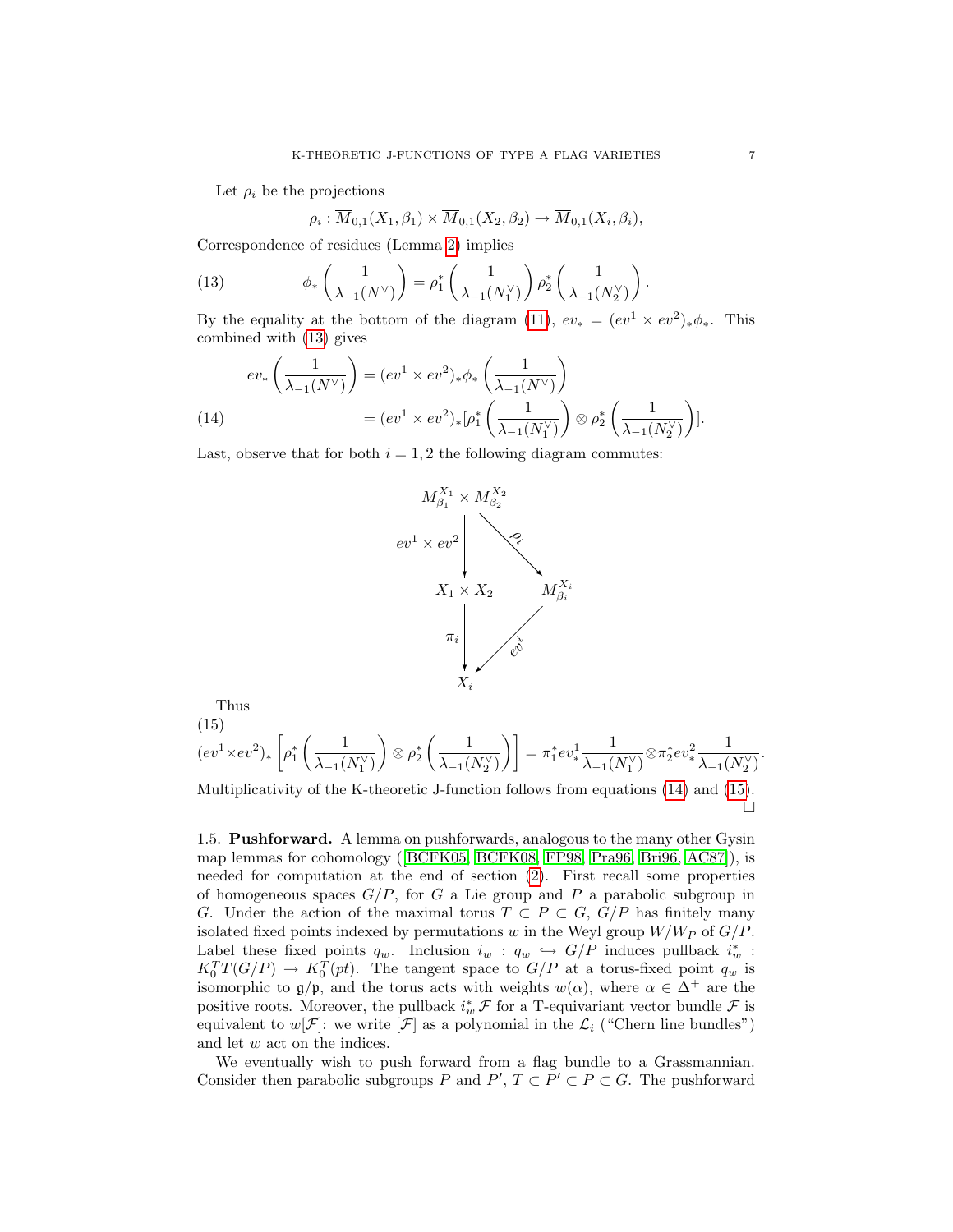Let  $\rho_i$  be the projections

<span id="page-6-1"></span>
$$
\rho_i: \overline{M}_{0,1}(X_1, \beta_1) \times \overline{M}_{0,1}(X_2, \beta_2) \to \overline{M}_{0,1}(X_i, \beta_i),
$$

Correspondence of residues (Lemma [2\)](#page-4-0) implies

(13) 
$$
\phi_*\left(\frac{1}{\lambda_{-1}(N^\vee)}\right) = \rho_1^*\left(\frac{1}{\lambda_{-1}(N_1^\vee)}\right)\rho_2^*\left(\frac{1}{\lambda_{-1}(N_2^\vee)}\right).
$$

By the equality at the bottom of the diagram [\(11\)](#page-5-1),  $ev_* = (ev^1 \times ev^2)_*\phi_*$ . This combined with [\(13\)](#page-6-1) gives

<span id="page-6-2"></span>
$$
ev_*\left(\frac{1}{\lambda_{-1}(N^{\vee})}\right) = (ev^1 \times ev^2)_*\phi_*\left(\frac{1}{\lambda_{-1}(N^{\vee})}\right)
$$
  
(14)  

$$
= (ev^1 \times ev^2)_*[\rho_1^*\left(\frac{1}{\lambda_{-1}(N_1^{\vee})}\right) \otimes \rho_2^*\left(\frac{1}{\lambda_{-1}(N_2^{\vee})}\right)].
$$

Last, observe that for both  $i = 1, 2$  the following diagram commutes:



Thus

<span id="page-6-3"></span>(15)  
\n
$$
(ev^1 \times ev^2)_* \left[ \rho_1^* \left( \frac{1}{\lambda_{-1}(N_1^{\vee})} \right) \otimes \rho_2^* \left( \frac{1}{\lambda_{-1}(N_2^{\vee})} \right) \right] = \pi_1^* ev^1_* \frac{1}{\lambda_{-1}(N_1^{\vee})} \otimes \pi_2^* ev^2_* \frac{1}{\lambda_{-1}(N_2^{\vee})}.
$$

Multiplicativity of the K-theoretic J-function follows from equations [\(14\)](#page-6-2) and [\(15\)](#page-6-3).  $\Box$ 

<span id="page-6-0"></span>1.5. Pushforward. A lemma on pushforwards, analogous to the many other Gysin map lemmas for cohomology ([\[BCFK05,](#page-21-2) [BCFK08,](#page-21-9) [FP98,](#page-21-19) [Pra96,](#page-22-2) [Bri96,](#page-21-20) [AC87\]](#page-20-1)), is needed for computation at the end of section [\(2\)](#page-8-0). First recall some properties of homogeneous spaces  $G/P$ , for G a Lie group and P a parabolic subgroup in G. Under the action of the maximal torus  $T \subset P \subset G$ ,  $G/P$  has finitely many isolated fixed points indexed by permutations w in the Weyl group  $W/W_P$  of  $G/P$ . Label these fixed points  $q_w$ . Inclusion  $i_w : q_w \hookrightarrow G/P$  induces pullback  $i_w^*$ :  $K_0^T T(G/P) \to K_0^T(pt)$ . The tangent space to  $G/P$  at a torus-fixed point  $q_w$  is isomorphic to  $\mathfrak{g}/\mathfrak{p}$ , and the torus acts with weights  $w(\alpha)$ , where  $\alpha \in \Delta^+$  are the positive roots. Moreover, the pullback  $i_w^* \mathcal{F}$  for a T-equivariant vector bundle  $\mathcal{F}$  is equivalent to  $w[\mathcal{F}]$ : we write  $[\mathcal{F}]$  as a polynomial in the  $\mathcal{L}_i$  ("Chern line bundles") and let w act on the indices.

We eventually wish to push forward from a flag bundle to a Grassmannian. Consider then parabolic subgroups P and  $P', T \subset P' \subset P \subset G$ . The pushforward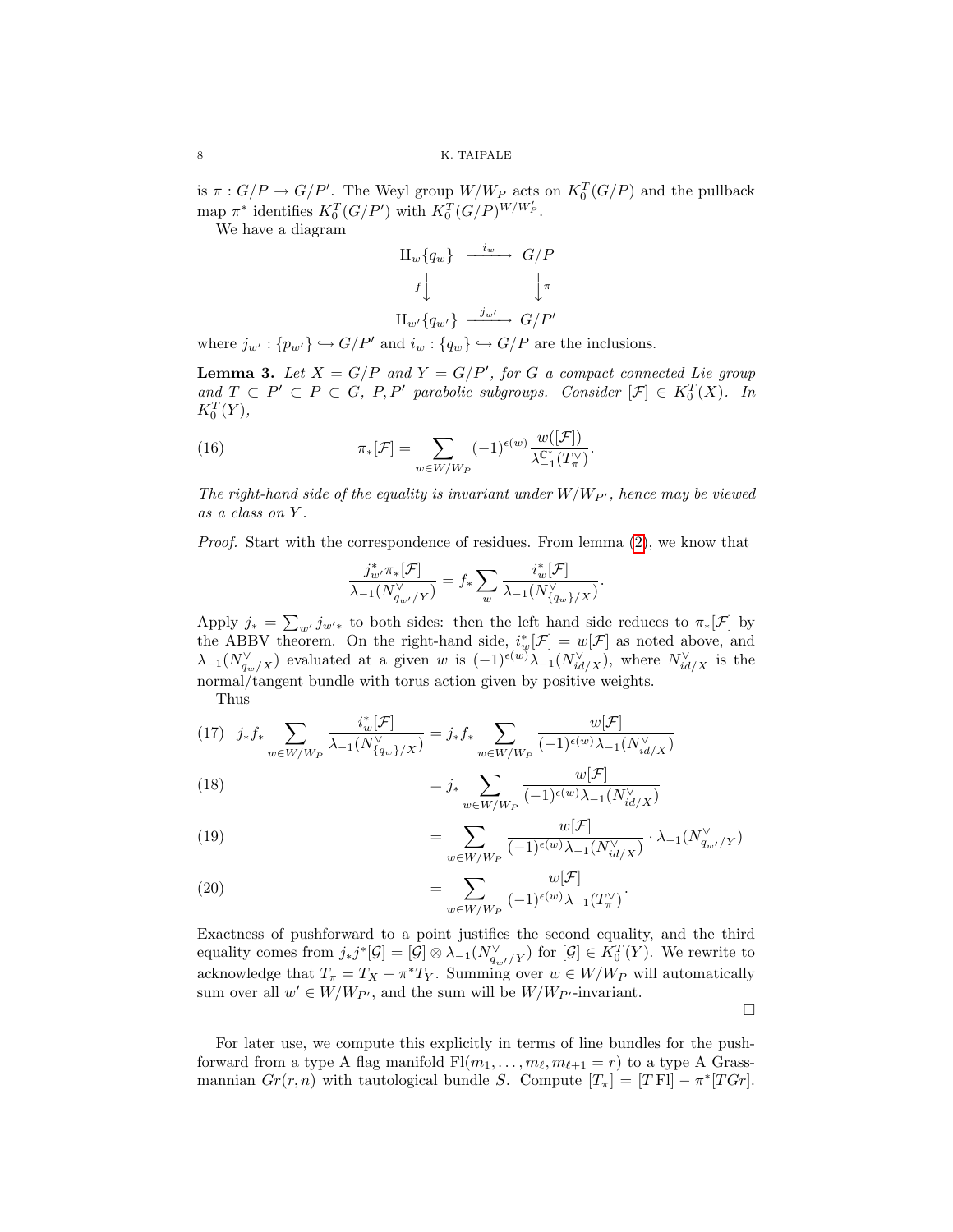is  $\pi: G/P \to G/P'$ . The Weyl group  $W/W_P$  acts on  $K_0^T(G/P)$  and the pullback map  $\pi^*$  identifies  $K_0^T(G/P')$  with  $K_0^T(G/P)^{W/W_P'}$ .

We have a diagram

$$
\begin{array}{ccc}\n\Pi_{w}\lbrace q_{w}\rbrace & \xrightarrow{i_{w}} & G/P \\
\downarrow f & & \downarrow \pi \\
\hline\n\text{H}_{w'}\lbrace q_{w'}\rbrace & \xrightarrow{j_{w'}} & G/P'\n\end{array}
$$

where  $j_{w'} : \{p_{w'}\} \hookrightarrow G/P'$  and  $i_w : \{q_w\} \hookrightarrow G/P$  are the inclusions.

<span id="page-7-0"></span>**Lemma 3.** Let  $X = G/P$  and  $Y = G/P'$ , for G a compact connected Lie group and  $T \subset P' \subset P \subset G$ , P, P' parabolic subgroups. Consider  $[\mathcal{F}] \in K_0^T(X)$ . In  $K_0^T(Y)$ ,

(16) 
$$
\pi_*[\mathcal{F}] = \sum_{w \in W/W_P} (-1)^{\epsilon(w)} \frac{w([\mathcal{F}])}{\lambda_{-1}^{\mathbb{C}^*}(T_\pi^{\vee})}.
$$

The right-hand side of the equality is invariant under  $W/W_{P'}$ , hence may be viewed as a class on Y .

Proof. Start with the correspondence of residues. From lemma [\(2\)](#page-4-0), we know that

$$
\frac{j_{w'}^*\pi_*[{\mathcal F}]}{\lambda_{-1}(N_{q_{w'}/Y}^\vee)}=f_*\sum_w \frac{i_w^*[{\mathcal F}]}{\lambda_{-1}(N_{\{q_w\}/X}^\vee)}.
$$

Apply  $j_* = \sum_{w'} j_{w'*}$  to both sides: then the left hand side reduces to  $\pi_*[\mathcal{F}]$  by the ABBV theorem. On the right-hand side,  $i_w^*[\mathcal{F}] = w[\mathcal{F}]$  as noted above, and  $\lambda_{-1}(N_{q_w/X}^{\vee})$  evaluated at a given w is  $(-1)^{\epsilon(w)}\lambda_{-1}(N_{id/X}^{\vee})$ , where  $N_{id/X}^{\vee}$  is the normal/tangent bundle with torus action given by positive weights.

Thus

$$
(17) \quad j_* f_* \sum_{w \in W/W_P} \frac{i_w^* [\mathcal{F}]}{\lambda_{-1}(N_{\{q_w\}/X}^{\vee})} = j_* f_* \sum_{w \in W/W_P} \frac{w[\mathcal{F}]}{(-1)^{\epsilon(w)} \lambda_{-1}(N_{id/X}^{\vee})}
$$

(18) 
$$
= j_* \sum_{w \in W/W_P} \frac{w[\mathcal{F}]}{(-1)^{\epsilon(w)} \lambda_{-1}(N_{id/X}^{\vee})}
$$

(19) 
$$
= \sum_{w \in W/W_P} \frac{w[\mathcal{F}]}{(-1)^{\epsilon(w)} \lambda_{-1}(N_{id/X}^{\vee})} \cdot \lambda_{-1}(N_{q_{w'}/Y}^{\vee})
$$

(20) 
$$
= \sum_{w \in W/W_P} \frac{w[\mathcal{F}]}{(-1)^{\epsilon(w)} \lambda_{-1}(T^\vee_\pi)}.
$$

Exactness of pushforward to a point justifies the second equality, and the third equality comes from  $j_*j^*[\mathcal{G}] = [\mathcal{G}] \otimes \lambda_{-1}(N_{q_{w'}/Y}^{\vee})$  for  $[\mathcal{G}] \in K_0^T(Y)$ . We rewrite to acknowledge that  $T_{\pi} = T_X - \pi^* T_Y$ . Summing over  $w \in W/W_P$  will automatically sum over all  $w' \in W/W_{P'}$ , and the sum will be  $W/W_{P'}$ -invariant.

 $\Box$ 

For later use, we compute this explicitly in terms of line bundles for the pushforward from a type A flag manifold  $\text{Fl}(m_1, \ldots, m_\ell, m_{\ell+1} = r)$  to a type A Grassmannian  $Gr(r, n)$  with tautological bundle S. Compute  $[T_{\pi}] = [T \text{ Fl}] - \pi^*[TGr]$ .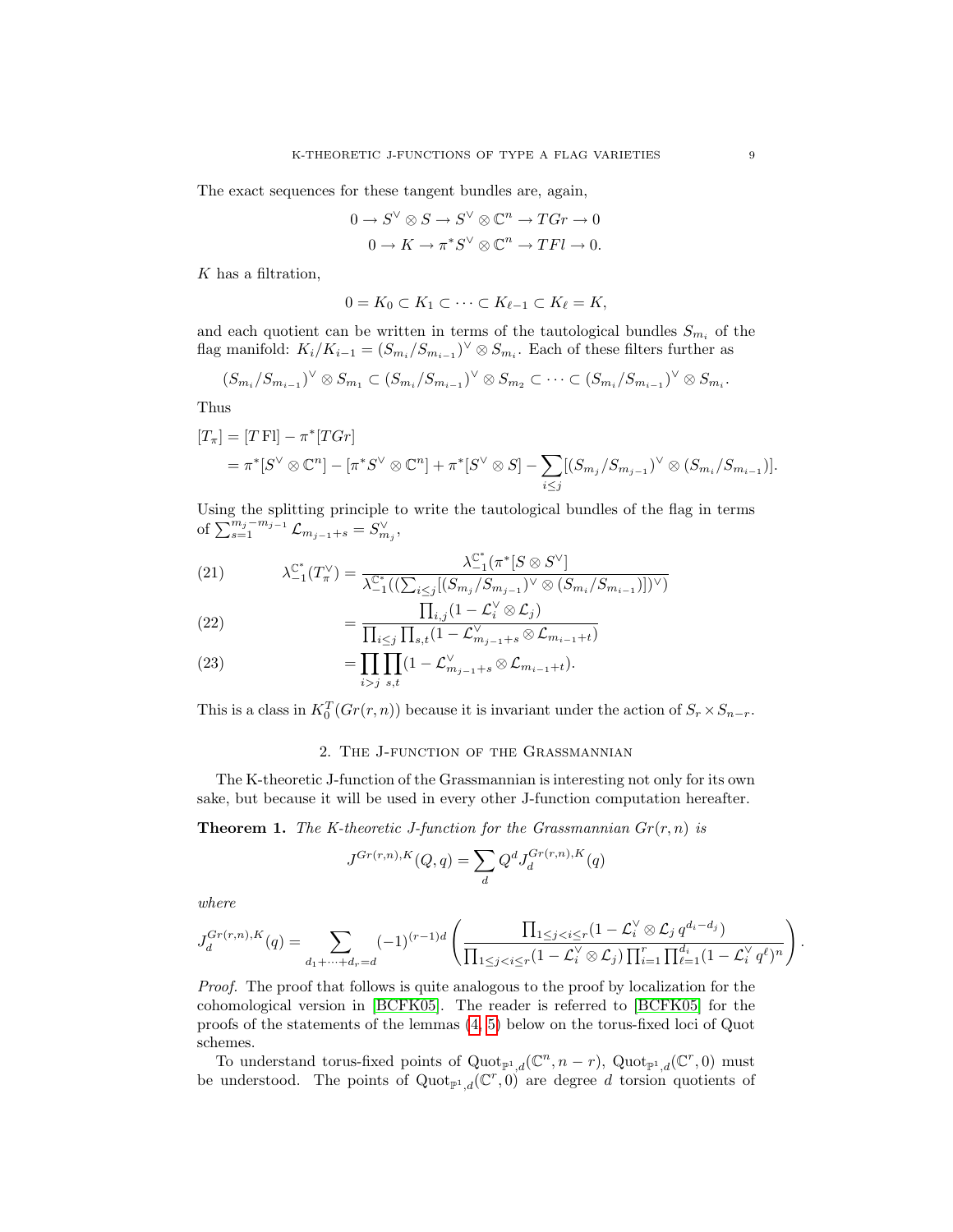The exact sequences for these tangent bundles are, again,

$$
0 \to S^{\vee} \otimes S \to S^{\vee} \otimes \mathbb{C}^n \to TGr \to 0
$$

$$
0 \to K \to \pi^* S^{\vee} \otimes \mathbb{C}^n \to TFl \to 0.
$$

K has a filtration,

$$
0 = K_0 \subset K_1 \subset \cdots \subset K_{\ell-1} \subset K_{\ell} = K,
$$

and each quotient can be written in terms of the tautological bundles  $S_{m_i}$  of the flag manifold:  $K_i/K_{i-1} = (S_{m_i}/S_{m_{i-1}})^{\vee} \otimes S_{m_i}$ . Each of these filters further as

$$
(S_{m_i}/S_{m_{i-1}})^{\vee} \otimes S_{m_1} \subset (S_{m_i}/S_{m_{i-1}})^{\vee} \otimes S_{m_2} \subset \cdots \subset (S_{m_i}/S_{m_{i-1}})^{\vee} \otimes S_{m_i}.
$$

Thus

$$
[T_{\pi}] = [T \text{ Fl}] - \pi^*[TGr] = \pi^*[S^{\vee} \otimes \mathbb{C}^n] - [\pi^*S^{\vee} \otimes \mathbb{C}^n] + \pi^*[S^{\vee} \otimes S] - \sum_{i \leq j} [(S_{m_j}/S_{m_{j-1}})^{\vee} \otimes (S_{m_i}/S_{m_{i-1}})].
$$

Using the splitting principle to write the tautological bundles of the flag in terms of  $\sum_{s=1}^{m_j-m_j-1} \mathcal{L}_{m_{j-1}+s} = S^{\vee}_{m_j},$ 

(21) 
$$
\lambda_{-1}^{\mathbb{C}^*}(T_{\pi}^{\vee}) = \frac{\lambda_{-1}^{\mathbb{C}^*}(\pi^*[S \otimes S^{\vee}])}{\lambda_{-1}^{\mathbb{C}^*}((\sum_{i \leq j}[(S_{m_j}/S_{m_{j-1}})^{\vee} \otimes (S_{m_i}/S_{m_{i-1}})])^{\vee})}
$$

(22) 
$$
= \frac{\prod_{i,j} (1 - \mathcal{L}_i^{\vee} \otimes \mathcal{L}_j)}{\prod_{i \le j} \prod_{s,t} (1 - \mathcal{L}_{m_{j-1}+s}^{\vee} \otimes \mathcal{L}_{m_{i-1}+t})}
$$

(23) 
$$
= \prod_{i>j} \prod_{s,t} (1 - \mathcal{L}_{m_{j-1}+s}^{\vee} \otimes \mathcal{L}_{m_{i-1}+t}).
$$

This is a class in  $K_0^T(Gr(r, n))$  because it is invariant under the action of  $S_r \times S_{n-r}$ .

## 2. The J-function of the Grassmannian

<span id="page-8-0"></span>The K-theoretic J-function of the Grassmannian is interesting not only for its own sake, but because it will be used in every other J-function computation hereafter.

**Theorem 1.** The K-theoretic J-function for the Grassmannian  $Gr(r, n)$  is

$$
J^{Gr(r,n),K}(Q,q) = \sum_{d} Q^d J_d^{Gr(r,n),K}(q)
$$

where

$$
J_d^{Gr(r,n),K}(q) = \sum_{d_1+\dots+d_r=d} (-1)^{(r-1)d} \left( \frac{\prod_{1 \leq j < i \leq r} (1-\mathcal{L}_i^{\vee} \otimes \mathcal{L}_j q^{d_i-d_j})}{\prod_{1 \leq j < i \leq r} (1-\mathcal{L}_i^{\vee} \otimes \mathcal{L}_j) \prod_{i=1}^r \prod_{\ell=1}^{d_i} (1-\mathcal{L}_i^{\vee} q^{\ell})^n} \right).
$$

Proof. The proof that follows is quite analogous to the proof by localization for the cohomological version in [\[BCFK05\]](#page-21-2). The reader is referred to [\[BCFK05\]](#page-21-2) for the proofs of the statements of the lemmas [\(4,](#page-9-0) [5\)](#page-9-1) below on the torus-fixed loci of Quot schemes.

To understand torus-fixed points of  $\mathrm{Quot}_{\mathbb{P}^1,d}(\mathbb{C}^n,n-r)$ ,  $\mathrm{Quot}_{\mathbb{P}^1,d}(\mathbb{C}^r,0)$  must be understood. The points of  $Quot_{\mathbb{P}^1,d}(\mathbb{C}^r,0)$  are degree d torsion quotients of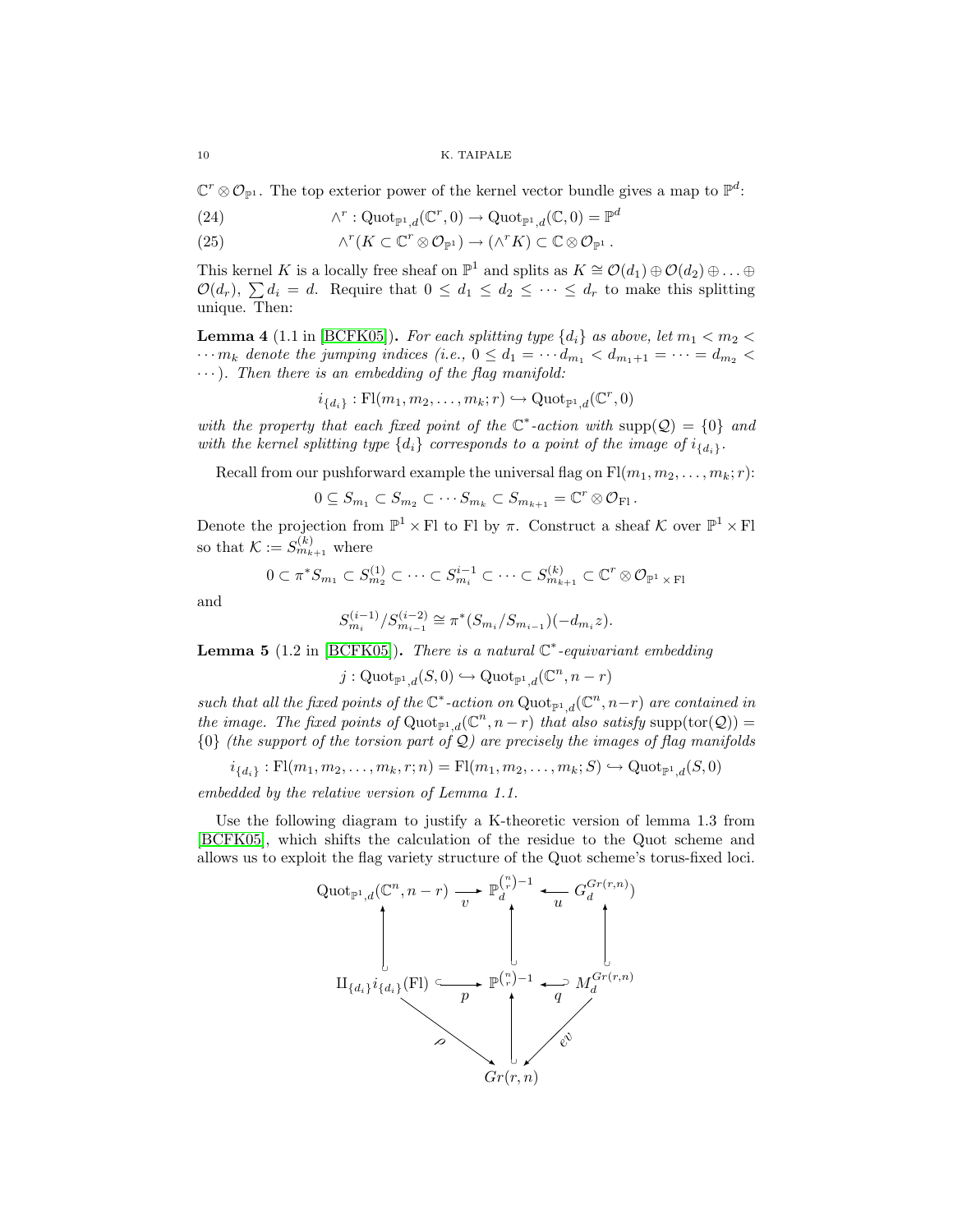$\mathbb{C}^r \otimes \mathcal{O}_{\mathbb{P}^1}$ . The top exterior power of the kernel vector bundle gives a map to  $\mathbb{P}^d$ :

- $\wedge^r: \mathrm{Quot}_{\mathbb{P}^1,d}(\mathbb{C}^r,0) \to \mathrm{Quot}_{\mathbb{P}^1,d}(\mathbb{C},0) = \mathbb{P}^d$ (24)
- (25)  $\wedge^r(K \subset \mathbb{C}^r \otimes \mathcal{O}_{\mathbb{P}^1}) \to (\wedge^r K) \subset \mathbb{C} \otimes \mathcal{O}_{\mathbb{P}^1}.$

This kernel K is a locally free sheaf on  $\mathbb{P}^1$  and splits as  $K \cong \mathcal{O}(d_1) \oplus \mathcal{O}(d_2) \oplus \ldots \oplus$  $\mathcal{O}(d_r)$ ,  $\sum d_i = d$ . Require that  $0 \leq d_1 \leq d_2 \leq \cdots \leq d_r$  to make this splitting unique. Then:

<span id="page-9-0"></span>**Lemma 4** (1.1 in [\[BCFK05\]](#page-21-2)). For each splitting type  $\{d_i\}$  as above, let  $m_1 < m_2 <$  $\cdots m_k$  denote the jumping indices (i.e.,  $0 \leq d_1 = \cdots d_{m_1} < d_{m_1+1} = \cdots = d_{m_2}$  $\cdots$ ). Then there is an embedding of the flag manifold:

$$
i_{\{d_i\}}:\mathrm{Fl}(m_1,m_2,\ldots,m_k;r) \hookrightarrow \mathrm{Quot}_{\mathbb{P}^1,d}(\mathbb{C}^r,0)
$$

with the property that each fixed point of the  $\mathbb{C}^*$ -action with supp $(Q) = \{0\}$  and with the kernel splitting type  $\{d_i\}$  corresponds to a point of the image of  $i_{\{d_i\}}$ .

Recall from our pushforward example the universal flag on  $Fl(m_1, m_2, \ldots, m_k; r)$ :

$$
0\subseteq S_{m_1}\subset S_{m_2}\subset \cdots S_{m_k}\subset S_{m_{k+1}}=\mathbb{C}^r\otimes \mathcal{O}_{\mathrm{Fl}}.
$$

Denote the projection from  $\mathbb{P}^1 \times \mathbb{F}$ l to Fl by  $\pi$ . Construct a sheaf K over  $\mathbb{P}^1 \times \mathbb{F}$ l so that  $\mathcal{K} := S_{m_{k+1}}^{(k)}$  where

$$
0 \subset \pi^* S_{m_1} \subset S_{m_2}^{(1)} \subset \cdots \subset S_{m_i}^{i-1} \subset \cdots \subset S_{m_{k+1}}^{(k)} \subset \mathbb{C}^r \otimes \mathcal{O}_{\mathbb{P}^1 \times \mathbb{F}^1}
$$

and

$$
S_{m_i}^{(i-1)}/S_{m_{i-1}}^{(i-2)} \cong \pi^*(S_{m_i}/S_{m_{i-1}})(-d_{m_i}z).
$$

<span id="page-9-1"></span>**Lemma 5** (1.2 in [\[BCFK05\]](#page-21-2)). There is a natural  $\mathbb{C}^*$ -equivariant embedding

$$
j:\mathrm{Quot}_{\mathbb{P}^1,d}(S,0)\hookrightarrow \mathrm{Quot}_{\mathbb{P}^1,d}(\mathbb{C}^n,n-r)
$$

such that all the fixed points of the  $\mathbb{C}^*$ -action on  $\mathrm{Quot}_{\mathbb{P}^1,d}(\mathbb{C}^n,n-r)$  are contained in the image. The fixed points of  $\text{Quot}_{\mathbb{P}^1,d}(\mathbb{C}^n,n-r)$  that also satisfy  $\text{supp}(\text{tor}(\mathcal{Q}))=$  $\{0\}$  (the support of the torsion part of Q) are precisely the images of flag manifolds

$$
i_{\{d_i\}}:\mathrm{Fl}(m_1,m_2,\ldots,m_k,r;n)=\mathrm{Fl}(m_1,m_2,\ldots,m_k;S)\hookrightarrow\mathrm{Quot}_{\mathbb{P}^1,d}(S,0)
$$

embedded by the relative version of Lemma 1.1.

Use the following diagram to justify a K-theoretic version of lemma 1.3 from [\[BCFK05\]](#page-21-2), which shifts the calculation of the residue to the Quot scheme and allows us to exploit the flag variety structure of the Quot scheme's torus-fixed loci.

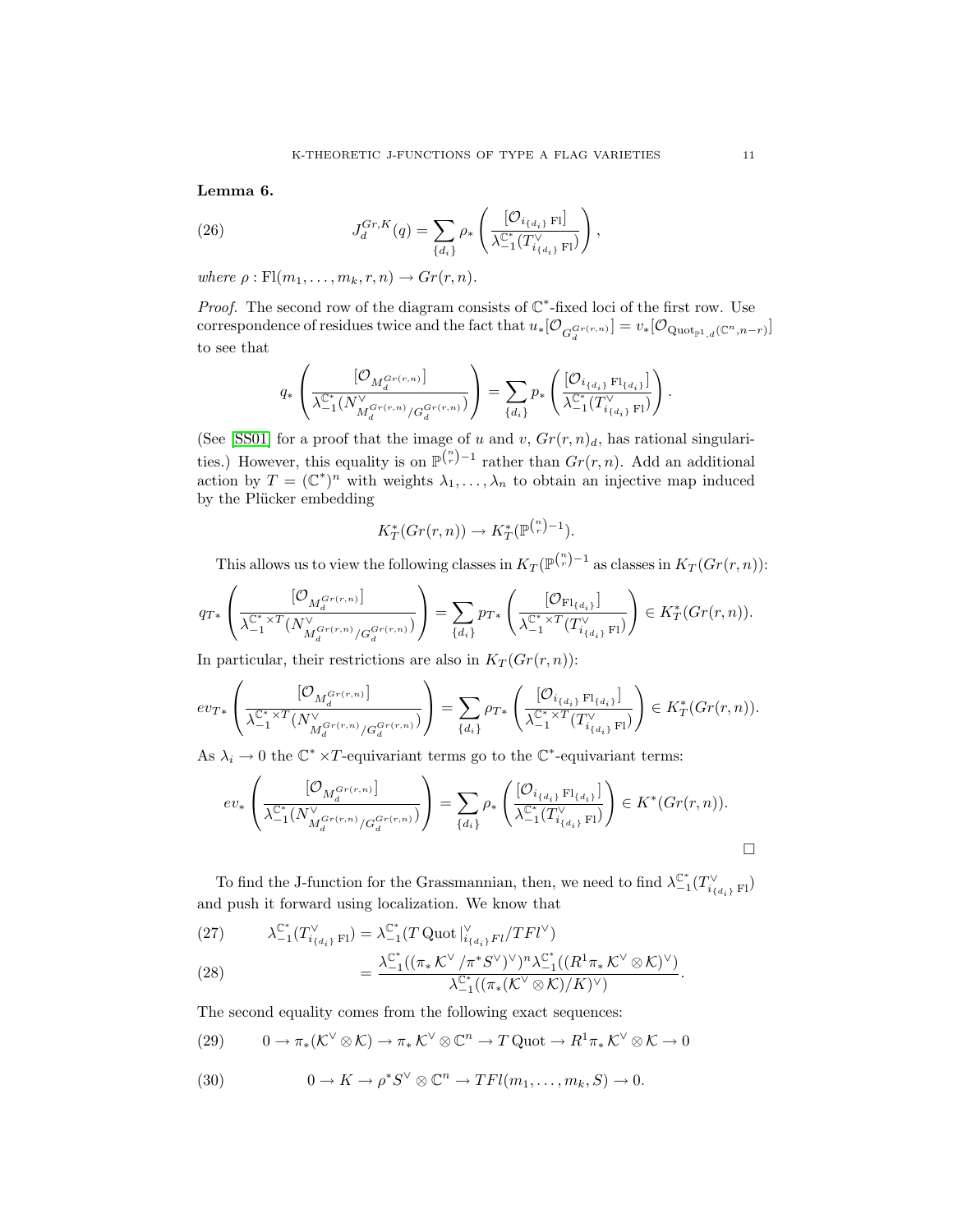Lemma 6.

(26) 
$$
J_d^{Gr,K}(q) = \sum_{\{d_i\}} \rho_* \left( \frac{[\mathcal{O}_{i_{\{d_i\}}\,F}]}{\lambda_{-1}^{\mathbb{C}^*}(T_{i_{\{d_i\}}\,F}^{\vee})} \right),
$$

where  $\rho : \mathrm{Fl}(m_1, \ldots, m_k, r, n) \to Gr(r, n)$ .

*Proof.* The second row of the diagram consists of  $\mathbb{C}^*$ -fixed loci of the first row. Use correspondence of residues twice and the fact that  $u_*[{\cal O}_{G_d^{Gr(r,n)}}] = v_*[{\cal O}_{\text{Quot}_{\mathbb{P}^1,d}(\mathbb{C}^n,n-r)}]$ to see that

$$
q_*\left(\frac{[\mathcal{O}_{M_d^{Gr(r,n)}}]}{\lambda_{-1}^{\mathbb{C}^*}(N_{M_d^{Gr(r,n)}/G_d^{Gr(r,n)}})}\right)=\sum_{\{d_i\}}p_*\left(\frac{[\mathcal{O}_{i_{\{d_i\}}}\operatorname{Fl}_{\{d_i\}}]}{\lambda_{-1}^{\mathbb{C}^*}(T_{i_{\{d_i\}}}\operatorname{Fl})}\right).
$$

(See [\[SS01\]](#page-22-3) for a proof that the image of u and v,  $Gr(r, n)<sub>d</sub>$ , has rational singularities.) However, this equality is on  $\mathbb{P}^{n \choose r}-1$  rather than  $Gr(r, n)$ . Add an additional action by  $T = (\mathbb{C}^*)^n$  with weights  $\lambda_1, \ldots, \lambda_n$  to obtain an injective map induced by the Plücker embedding

$$
K_T^*(Gr(r,n)) \to K_T^*(\mathbb{P}^{n-1}).
$$

This allows us to view the following classes in  $K_T(\mathbb{P}^{n\choose r}-1)$  as classes in  $K_T(Gr(r,n))$ :

$$
q_{T*}\left(\frac{[\mathcal{O}_{M_d^{Gr(r,n)}}]}{\lambda_{-1}^{\mathbb{C}^* \times T}(N_{M_d^{Gr(r,n)}/G_d^{Gr(r,n)}})}\right) = \sum_{\{d_i\}} p_{T*}\left(\frac{[\mathcal{O}_{\mathrm{Fl}_{\{d_i\}}}] }{\lambda_{-1}^{\mathbb{C}^* \times T}(T_{i_{\{d_i\}}\mathrm{Fl}}^{\vee})}\right) \in K_T^*(Gr(r,n)).
$$

In particular, their restrictions are also in  $K_T(Gr(r, n))$ :

$$
ev_{T*}\left(\frac{[\mathcal{O}_{M_d^{Gr(r,n)}}]}{\lambda_{-1}^{\mathbb{C}^* \times T}(N_{M_d^{Gr(r,n)}/G_d^{Gr(r,n)}})}\right) = \sum_{\{d_i\}} \rho_{T*}\left(\frac{[\mathcal{O}_{i_{\{d_i\}} F1_{\{d_i\}}}] }{\lambda_{-1}^{\mathbb{C}^* \times T}(T_{i_{\{d_i\}} F1})}\right) \in K_T^*(Gr(r,n)).
$$

As  $\lambda_i \to 0$  the  $\mathbb{C}^* \times T$ -equivariant terms go to the  $\mathbb{C}^*$ -equivariant terms:

$$
ev_*\left( \frac{[\mathcal{O}_{M_d^{Gr(r,n)}}]}{\lambda_{-1}^{\mathbb{C}^*}(N_{M_d^{Gr(r,n)}/G_d^{Gr(r,n)}})} \right) = \sum_{\{d_i\}} \rho_*\left( \frac{[\mathcal{O}_{i_{\{d_i\}} F1_{\{d_i\}}}] }{\lambda_{-1}^{\mathbb{C}^*}(T_{i_{\{d_i\}} F1)}^{\vee}} \right) \in K^*(Gr(r,n)).
$$

To find the J-function for the Grassmannian, then, we need to find  $\lambda_{-1}^{\mathbb{C}^*}(T_{i_{\{d_i\}}F1}^{\vee})$ and push it forward using localization. We know that

(27) 
$$
\lambda_{-1}^{\mathbb{C}^*}(T_{i_{\{d_i\}} F1}^{\vee}) = \lambda_{-1}^{\mathbb{C}^*}(T \text{ Quot } |_{i_{\{d_i\}} F1}^{\vee}/TFl^{\vee})
$$

$$
= \frac{\lambda_{-1}^{\mathbb{C}^*}((\pi_* K^{\vee}/\pi^* S^{\vee})^{\vee})^n \lambda_{-1}^{\mathbb{C}^*}((R^1 \pi_* K^{\vee} \otimes K)^{\vee})}{\lambda_{-1}^{\mathbb{C}^*}((\pi_* (K^{\vee} \otimes K)/K)^{\vee})}.
$$

The second equality comes from the following exact sequences:

(29) 
$$
0 \to \pi_*(\mathcal{K}^{\vee} \otimes \mathcal{K}) \to \pi_*\mathcal{K}^{\vee} \otimes \mathbb{C}^n \to T \text{ Quot} \to R^1\pi_*\mathcal{K}^{\vee} \otimes \mathcal{K} \to 0
$$

(30) 
$$
0 \to K \to \rho^* S^\vee \otimes \mathbb{C}^n \to TFl(m_1, \dots, m_k, S) \to 0.
$$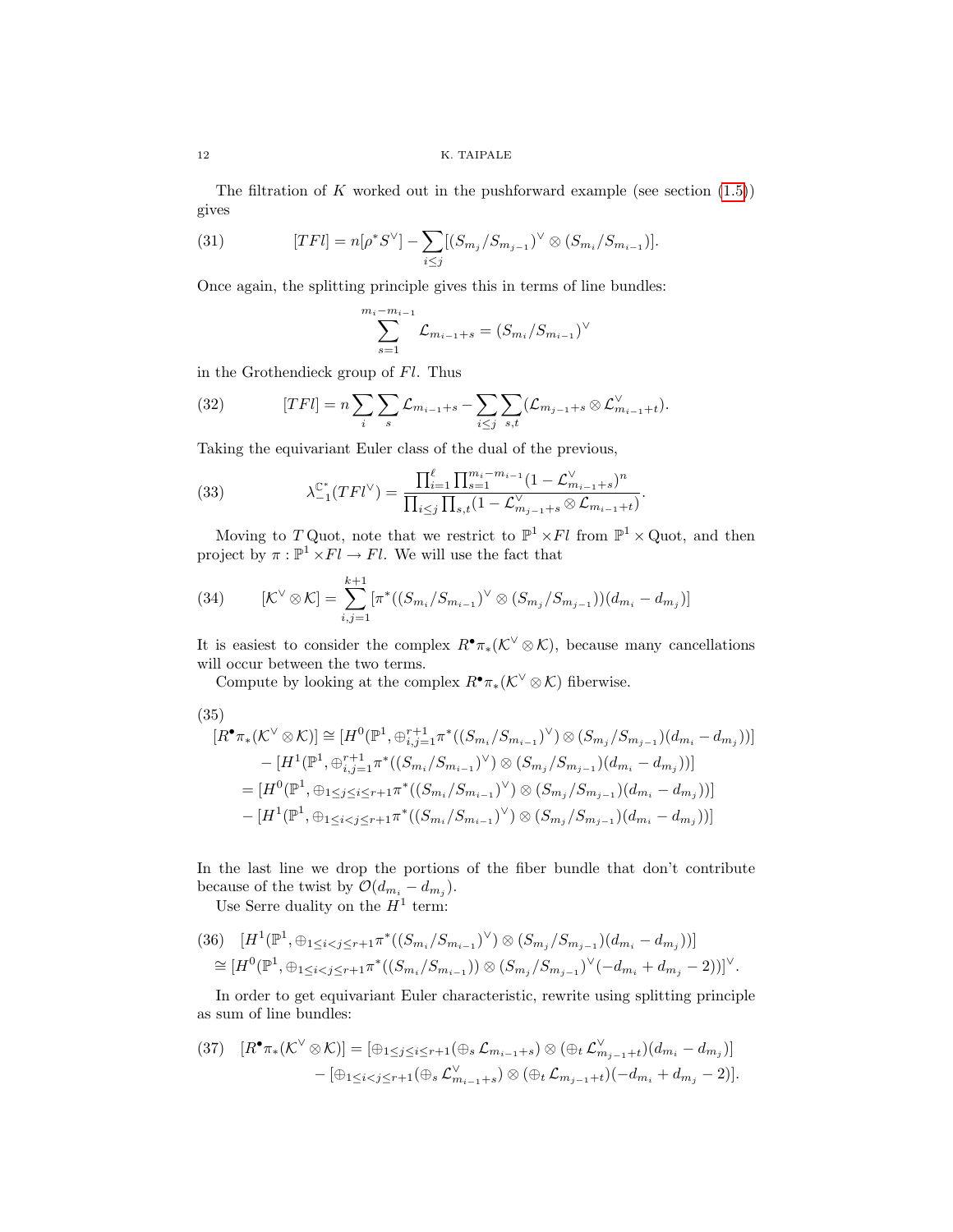The filtration of K worked out in the pushforward example (see section  $(1.5)$ ) gives

(31) 
$$
[TFl] = n[\rho^*S^\vee] - \sum_{i \leq j} [(S_{m_j}/S_{m_{j-1}})^\vee \otimes (S_{m_i}/S_{m_{i-1}})].
$$

Once again, the splitting principle gives this in terms of line bundles:

$$
\sum_{s=1}^{m_i - m_{i-1}} \mathcal{L}_{m_{i-1} + s} = (S_{m_i}/S_{m_{i-1}})^{\vee}
$$

in the Grothendieck group of Fl. Thus

(32) 
$$
[TFl] = n \sum_{i} \sum_{s} \mathcal{L}_{m_{i-1}+s} - \sum_{i \leq j} \sum_{s,t} (\mathcal{L}_{m_{j-1}+s} \otimes \mathcal{L}_{m_{i-1}+t}^{\vee}).
$$

Taking the equivariant Euler class of the dual of the previous,

(33) 
$$
\lambda_{-1}^{\mathbb{C}^*}(TFl^{\vee}) = \frac{\prod_{i=1}^{\ell} \prod_{s=1}^{m_i - m_{i-1}} (1 - \mathcal{L}_{m_{i-1}+s}^{\vee})^n}{\prod_{i \leq j} \prod_{s,t} (1 - \mathcal{L}_{m_{j-1}+s}^{\vee} \otimes \mathcal{L}_{m_{i-1}+t})}.
$$

Moving to T Quot, note that we restrict to  $\mathbb{P}^1 \times Fl$  from  $\mathbb{P}^1 \times$  Quot, and then project by  $\pi : \mathbb{P}^1 \times Fl \to Fl$ . We will use the fact that

(34) 
$$
[\mathcal{K}^{\vee} \otimes \mathcal{K}] = \sum_{i,j=1}^{k+1} [\pi^*((S_{m_i}/S_{m_{i-1}})^{\vee} \otimes (S_{m_j}/S_{m_{j-1}}))(d_{m_i} - d_{m_j})]
$$

It is easiest to consider the complex  $R^{\bullet}\pi_*(\mathcal{K}^{\vee}\otimes\mathcal{K})$ , because many cancellations will occur between the two terms.

Compute by looking at the complex  $R^{\bullet} \pi_*(\mathcal{K}^{\vee} \otimes \mathcal{K})$  fiberwise.

(35)

$$
[R^{\bullet}\pi_*(\mathcal{K}^{\vee}\otimes\mathcal{K})] \cong [H^0(\mathbb{P}^1, \oplus_{i,j=1}^{r+1}\pi^*((S_{m_i}/S_{m_{i-1}})^{\vee})\otimes (S_{m_j}/S_{m_{j-1}})(d_{m_i}-d_{m_j}))]
$$
  
\n
$$
-[H^1(\mathbb{P}^1, \oplus_{i,j=1}^{r+1}\pi^*((S_{m_i}/S_{m_{i-1}})^{\vee})\otimes (S_{m_j}/S_{m_{j-1}})(d_{m_i}-d_{m_j}))]
$$
  
\n
$$
=[H^0(\mathbb{P}^1, \oplus_{1\leq j\leq i\leq r+1}\pi^*((S_{m_i}/S_{m_{i-1}})^{\vee})\otimes (S_{m_j}/S_{m_{j-1}})(d_{m_i}-d_{m_j}))]
$$
  
\n
$$
-[H^1(\mathbb{P}^1, \oplus_{1\leq i
$$

In the last line we drop the portions of the fiber bundle that don't contribute because of the twist by  $\mathcal{O}(d_{m_i}-d_{m_j}).$ 

Use Serre duality on the  $H^1$  term:

$$
(36) \quad [H^{1}(\mathbb{P}^{1}, \oplus_{1 \leq i < j \leq r+1} \pi^{*}((S_{m_{i}}/S_{m_{i-1}})^{\vee}) \otimes (S_{m_{j}}/S_{m_{j-1}})(d_{m_{i}} - d_{m_{j}}))]
$$
\n
$$
\cong [H^{0}(\mathbb{P}^{1}, \oplus_{1 \leq i < j \leq r+1} \pi^{*}((S_{m_{i}}/S_{m_{i-1}})) \otimes (S_{m_{j}}/S_{m_{j-1}})^{\vee}(-d_{m_{i}} + d_{m_{j}} - 2))]^{\vee}.
$$

In order to get equivariant Euler characteristic, rewrite using splitting principle as sum of line bundles:

$$
(37) \quad [R^{\bullet}\pi_*(\mathcal{K}^{\vee}\otimes\mathcal{K})] = [\oplus_{1\leq j\leq i\leq r+1}(\oplus_s\mathcal{L}_{m_{i-1}+s})\otimes(\oplus_t\mathcal{L}_{m_{j-1}+t}^{\vee})(d_{m_i}-d_{m_j})] \\ - [\oplus_{1\leq i
$$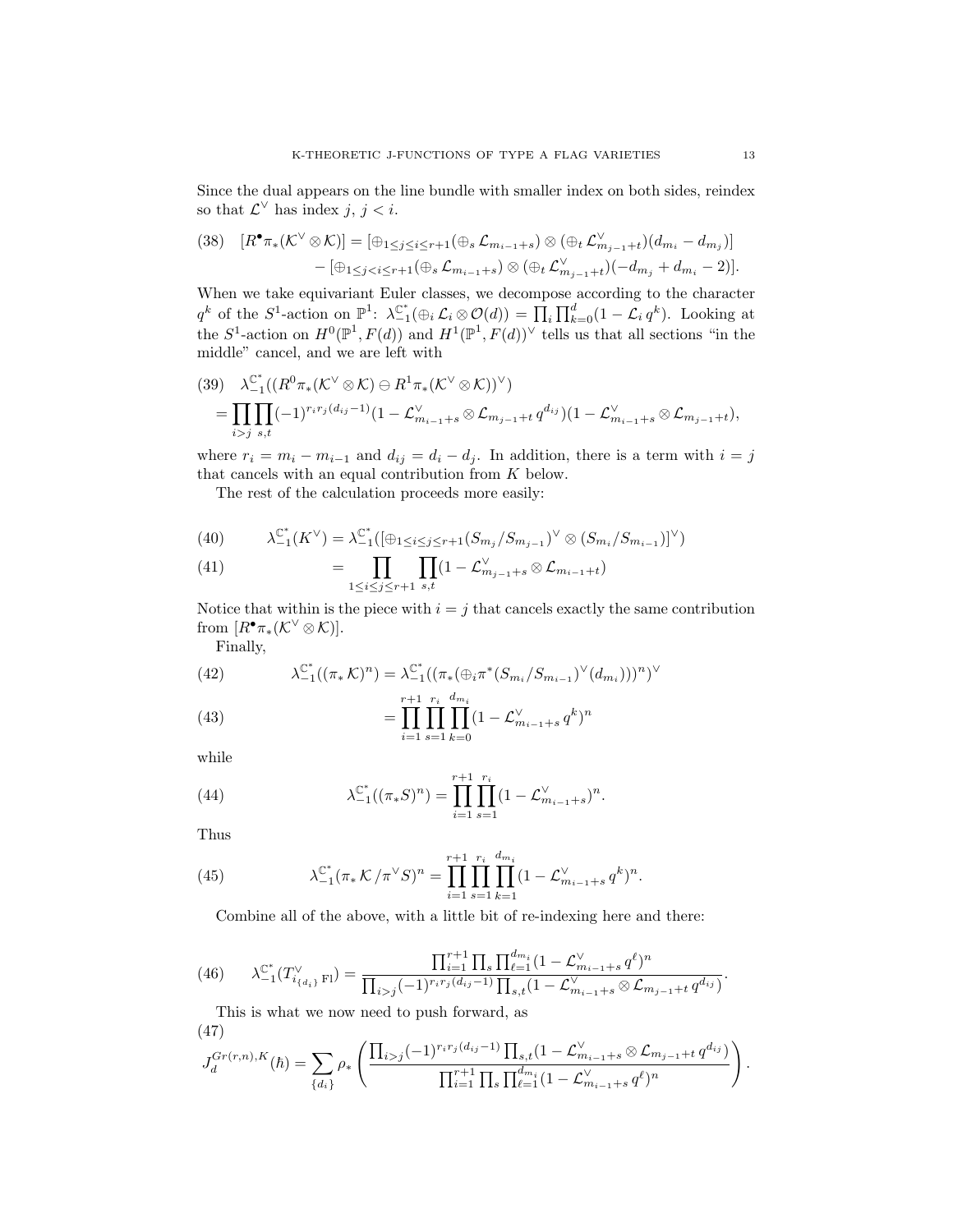Since the dual appears on the line bundle with smaller index on both sides, reindex so that  $\mathcal{L}^{\vee}$  has index  $j, j < i$ .

$$
(38) \quad [R^{\bullet}\pi_*(\mathcal{K}^{\vee}\otimes\mathcal{K})]=[\oplus_{1\leq j\leq i\leq r+1}(\oplus_s\mathcal{L}_{m_{i-1}+s})\otimes(\oplus_t\mathcal{L}_{m_{j-1}+t}^{\vee})(d_{m_i}-d_{m_j})]
$$

$$
-[\oplus_{1\leq j
$$

When we take equivariant Euler classes, we decompose according to the character  $q^k$  of the  $S^1$ -action on  $\mathbb{P}^1$ :  $\lambda_{-1}^{\mathbb{C}^*}(\bigoplus_i \mathcal{L}_i \otimes \mathcal{O}(d)) = \prod_i \prod_{k=0}^d (1 - \mathcal{L}_i q^k)$ . Looking at the  $S^1$ -action on  $H^0(\mathbb{P}^1, F(d))$  and  $H^1(\mathbb{P}^1, F(d))^{\vee}$  tells us that all sections "in the middle" cancel, and we are left with

$$
(39) \quad \lambda_{-1}^{\mathbb{C}^*}((R^0\pi_*(\mathcal{K}^{\vee}\otimes \mathcal{K})\ominus R^1\pi_*(\mathcal{K}^{\vee}\otimes \mathcal{K}))^{\vee})
$$
  
= 
$$
\prod_{i>j}\prod_{s,t}(-1)^{r_ir_j(d_{ij}-1)}(1-\mathcal{L}^{\vee}_{m_{i-1}+s}\otimes \mathcal{L}_{m_{j-1}+t}q^{d_{ij}})(1-\mathcal{L}^{\vee}_{m_{i-1}+s}\otimes \mathcal{L}_{m_{j-1}+t}),
$$

where  $r_i = m_i - m_{i-1}$  and  $d_{ij} = d_i - d_j$ . In addition, there is a term with  $i = j$ that cancels with an equal contribution from K below.

The rest of the calculation proceeds more easily:

(40) 
$$
\lambda_{-1}^{\mathbb{C}^*}(K^{\vee}) = \lambda_{-1}^{\mathbb{C}^*}([\oplus_{1 \leq i \leq j \leq r+1} (S_{m_j}/S_{m_{j-1}})^{\vee} \otimes (S_{m_i}/S_{m_{i-1}})]^{\vee})
$$

(41) 
$$
= \prod_{1 \leq i \leq j \leq r+1} \prod_{s,t} (1 - \mathcal{L}_{m_{j-1}+s}^{\vee} \otimes \mathcal{L}_{m_{i-1}+t})
$$

Notice that within is the piece with  $i = j$  that cancels exactly the same contribution from  $[R^{\bullet}\pi_*(\mathcal{K}^{\vee}\otimes\mathcal{K})].$ 

Finally,

(42) 
$$
\lambda_{-1}^{\mathbb{C}^*}((\pi_*\mathcal{K})^n) = \lambda_{-1}^{\mathbb{C}^*}((\pi_*(\oplus_i \pi^*(S_{m_i}/S_{m_{i-1}})^{\vee}(d_{m_i})))^n)^{\vee}
$$

(43) 
$$
= \prod_{i=1}^{r+1} \prod_{s=1}^{r_i} \prod_{k=0}^{d_{m_i}} (1 - \mathcal{L}_{m_{i-1}+s}^{\vee} q^k)^n
$$

while

(44) 
$$
\lambda_{-1}^{\mathbb{C}^*}((\pi_*S)^n) = \prod_{i=1}^{r+1} \prod_{s=1}^{r_i} (1 - \mathcal{L}_{m_{i-1}+s}^{\vee})^n.
$$

Thus

(45) 
$$
\lambda_{-1}^{\mathbb{C}^*}(\pi_* \mathcal{K}/\pi^{\vee} S)^n = \prod_{i=1}^{r+1} \prod_{s=1}^{r_i} \prod_{k=1}^{d_{m_i}} (1 - \mathcal{L}_{m_{i-1}+s}^{\vee} q^k)^n.
$$

Combine all of the above, with a little bit of re-indexing here and there:

<span id="page-12-0"></span>(46) 
$$
\lambda_{-1}^{\mathbb{C}^*}(T_{i_{\{d_i\}}\mathrm{Fl}}^{\vee}) = \frac{\prod_{i=1}^{r+1} \prod_{s} \prod_{\ell=1}^{d_{m_i}} (1 - \mathcal{L}_{m_{i-1}+s}^{\vee} q^{\ell})^n}{\prod_{i>j} (-1)^{r_i r_j(d_{ij}-1)} \prod_{s,t} (1 - \mathcal{L}_{m_{i-1}+s}^{\vee} \otimes \mathcal{L}_{m_{j-1}+t} q^{d_{ij}})}.
$$

This is what we now need to push forward, as (47)

$$
J_d^{Gr(r,n),K}(\hbar) = \sum_{\{d_i\}} \rho_* \left( \frac{\prod_{i>j} (-1)^{r_i r_j (d_{ij}-1)} \prod_{s,t} (1 - \mathcal{L}_{m_{i-1}+s}^{\vee} \otimes \mathcal{L}_{m_{j-1}+t} q^{d_{ij}})}{\prod_{i=1}^{r+1} \prod_s \prod_{\ell=1}^{d_{m_i}} (1 - \mathcal{L}_{m_{i-1}+s}^{\vee} q^{\ell})^n} \right)
$$

.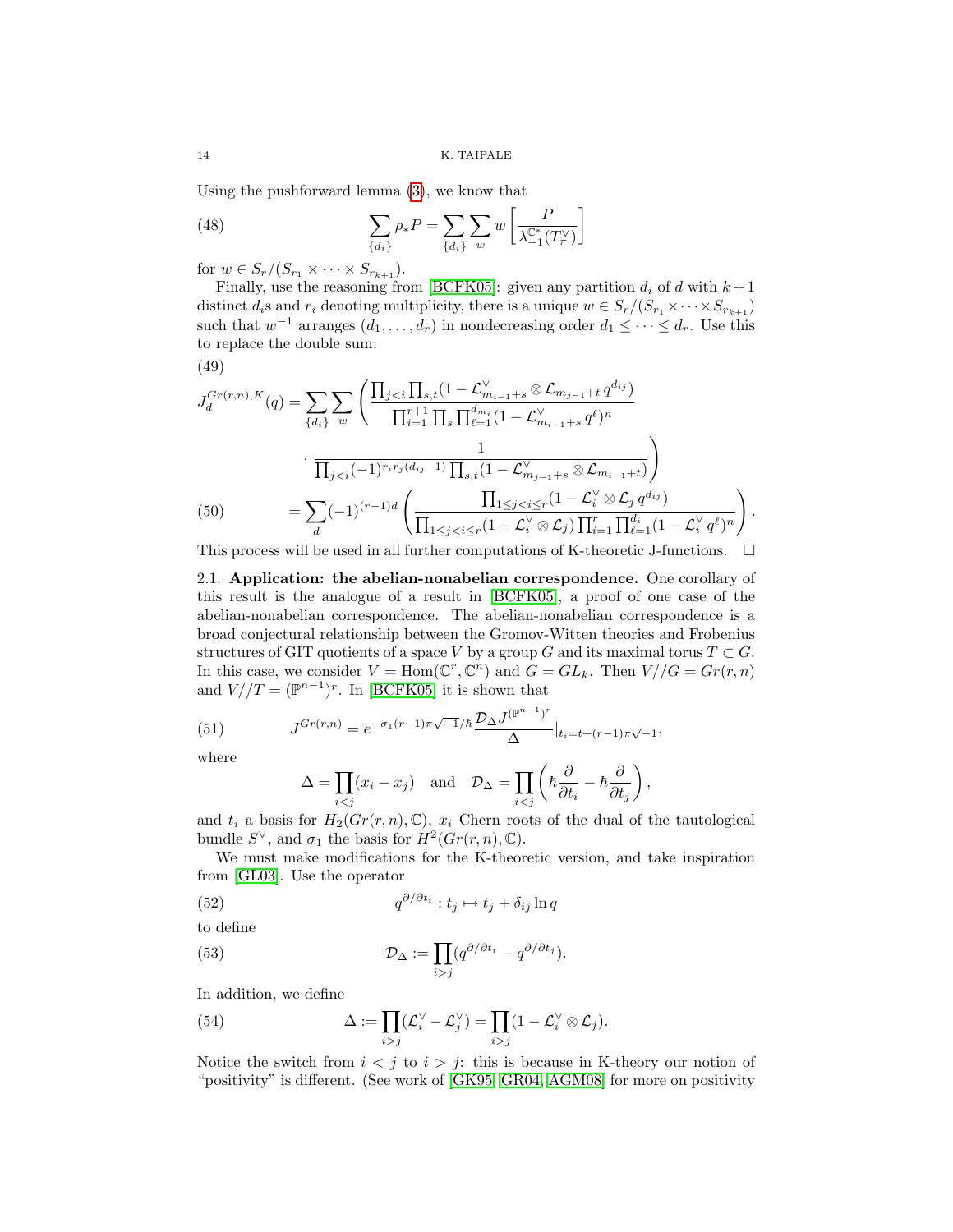Using the pushforward lemma [\(3\)](#page-7-0), we know that

(48) 
$$
\sum_{\{d_i\}} \rho_* P = \sum_{\{d_i\}} \sum_w w \left[ \frac{P}{\lambda_{-1}^{\mathbb{C}^*}(T_\pi^\vee)} \right]
$$

for  $w \in S_r/(S_{r_1} \times \cdots \times S_{r_{k+1}}).$ 

Finally, use the reasoning from [\[BCFK05\]](#page-21-2): given any partition  $d_i$  of d with  $k+1$ distinct  $d_i$ s and  $r_i$  denoting multiplicity, there is a unique  $w \in S_r/(S_{r_1} \times \cdots \times S_{r_{k+1}})$ such that  $w^{-1}$  arranges  $(d_1, \ldots, d_r)$  in nondecreasing order  $d_1 \leq \cdots \leq d_r$ . Use this to replace the double sum:

$$
(49)
$$

$$
J_d^{Gr(r,n),K}(q) = \sum_{\{d_i\}} \sum_w \left( \frac{\prod_{j < i} \prod_{s,t} (1 - \mathcal{L}_{m_{i-1}+s}^{\vee} \otimes \mathcal{L}_{m_{j-1}+t} q^{d_{ij}})}{\prod_{i=1}^{r+1} \prod_s \prod_{\ell=1}^{d_{m_i}} (1 - \mathcal{L}_{m_{i-1}+s}^{\vee} q^{\ell})^n} \right)
$$
\n
$$
\frac{1}{\prod_{j < i} (-1)^{r_i r_j (d_{ij}-1)} \prod_{s,t} (1 - \mathcal{L}_{m_{j-1}+s}^{\vee} \otimes \mathcal{L}_{m_{i-1}+t})} \right)
$$
\n
$$
= \sum_d (-1)^{(r-1)d} \left( \frac{\prod_{1 \le j < i \le r} (1 - \mathcal{L}_i^{\vee} \otimes \mathcal{L}_j q^{d_{ij}})}{\prod_{1 \le j < i \le r} (1 - \mathcal{L}_i^{\vee} \otimes \mathcal{L}_j) \prod_{i=1}^{r} \prod_{\ell=1}^{d_i} (1 - \mathcal{L}_i^{\vee} q^{\ell})^n} \right).
$$
\n
$$
\prod_{j=1}^n \sum_{j=1}^n \sum_{j=1}^n \binom{d_{m_j}}{d_{m_j}}
$$

This process will be used in all further computations of K-theoretic J-functions.  $\Box$ 

<span id="page-13-0"></span>2.1. Application: the abelian-nonabelian correspondence. One corollary of this result is the analogue of a result in [\[BCFK05\]](#page-21-2), a proof of one case of the abelian-nonabelian correspondence. The abelian-nonabelian correspondence is a broad conjectural relationship between the Gromov-Witten theories and Frobenius structures of GIT quotients of a space V by a group G and its maximal torus  $T \subset G$ . In this case, we consider  $V = \text{Hom}(\mathbb{C}^r, \mathbb{C}^n)$  and  $G = GL_k$ . Then  $V//G = Gr(r, n)$ and  $V/(T = (\mathbb{P}^{n-1})^r$ . In [\[BCFK05\]](#page-21-2) it is shown that

(51) 
$$
J^{Gr(r,n)} = e^{-\sigma_1(r-1)\pi\sqrt{-1}/\hbar} \frac{\mathcal{D}_{\Delta} J^{(p^{n-1})^r}}{\Delta} \Big|_{t_i = t + (r-1)\pi\sqrt{-1}},
$$

where

$$
\Delta = \prod_{i < j} (x_i - x_j) \quad \text{and} \quad \mathcal{D}_{\Delta} = \prod_{i < j} \left( \hbar \frac{\partial}{\partial t_i} - \hbar \frac{\partial}{\partial t_j} \right),
$$

and  $t_i$  a basis for  $H_2(Gr(r, n), \mathbb{C}), x_i$  Chern roots of the dual of the tautological bundle  $S^{\vee}$ , and  $\sigma_1$  the basis for  $H^2(Gr(r, n), \mathbb{C})$ .

We must make modifications for the K-theoretic version, and take inspiration from [\[GL03\]](#page-21-3). Use the operator

(52) 
$$
q^{\partial/\partial t_i}: t_j \mapsto t_j + \delta_{ij} \ln q
$$

to define

(53) 
$$
\mathcal{D}_{\Delta} := \prod_{i > j} (q^{\partial/\partial t_i} - q^{\partial/\partial t_j}).
$$

In addition, we define

(54) 
$$
\Delta := \prod_{i > j} (\mathcal{L}_i^{\vee} - \mathcal{L}_j^{\vee}) = \prod_{i > j} (1 - \mathcal{L}_i^{\vee} \otimes \mathcal{L}_j).
$$

Notice the switch from  $i < j$  to  $i > j$ : this is because in K-theory our notion of "positivity" is different. (See work of [\[GK95,](#page-21-21) [GR04,](#page-21-22) [AGM08\]](#page-20-2) for more on positivity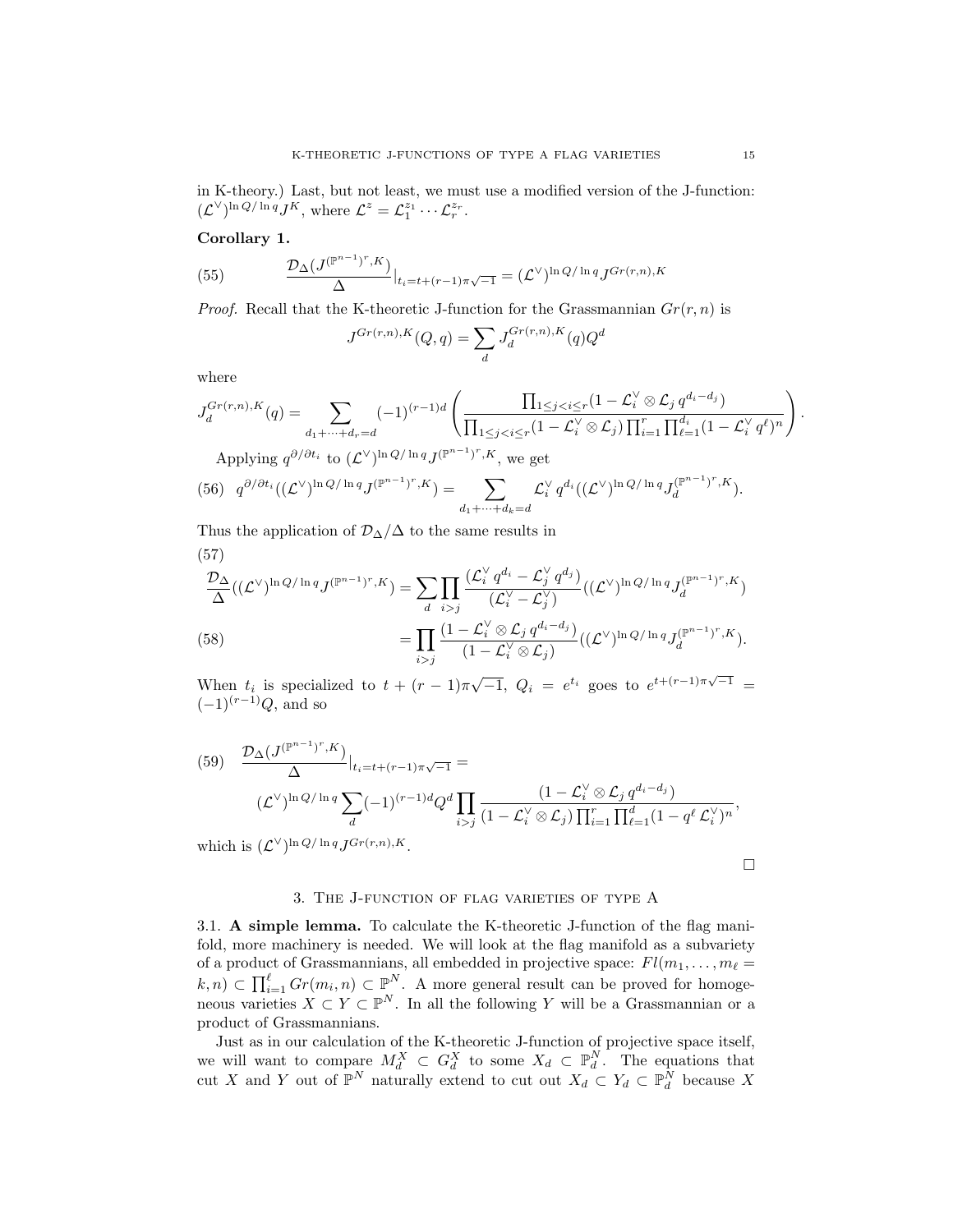in K-theory.) Last, but not least, we must use a modified version of the J-function:  $(\mathcal{L}^{\vee})^{\ln Q/\ln q} J^K$ , where  $\mathcal{L}^z = \mathcal{L}_1^{z_1} \cdots \mathcal{L}_r^{z_r}$ .

### Corollary 1.

(55) 
$$
\frac{\mathcal{D}_{\Delta}(J^{(\mathbb{P}^{n-1})^r,K})}{\Delta}|_{t_i=t+(r-1)\pi\sqrt{-1}} = (\mathcal{L}^{\vee})^{\ln Q/\ln q} J^{Gr(r,n),K}
$$

*Proof.* Recall that the K-theoretic J-function for the Grassmannian  $Gr(r, n)$  is

$$
J^{Gr(r,n),K}(Q,q) = \sum_{d} J_d^{Gr(r,n),K}(q)Q^d
$$

where

$$
J_d^{Gr(r,n),K}(q) = \sum_{d_1+\dots+d_r=d} (-1)^{(r-1)d} \left( \frac{\prod_{1 \leq j < i \leq r} (1-\mathcal{L}_i^{\vee} \otimes \mathcal{L}_j q^{d_i-d_j})}{\prod_{1 \leq j < i \leq r} (1-\mathcal{L}_i^{\vee} \otimes \mathcal{L}_j) \prod_{i=1}^r \prod_{\ell=1}^{d_i} (1-\mathcal{L}_i^{\vee} q^{\ell})^n} \right).
$$

Applying  $q^{\partial/\partial t_i}$  to  $(\mathcal{L}^{\vee})^{\ln Q/\ln q} J^{(\mathbb{P}^{n-1})^r, K}$ , we get

(56) 
$$
q^{\partial/\partial t_i}((\mathcal{L}^{\vee})^{\ln Q/\ln q}J^{(\mathbb{P}^{n-1})^r,K}) = \sum_{d_1+\cdots+d_k=d}\mathcal{L}_i^{\vee}q^{d_i}((\mathcal{L}^{\vee})^{\ln Q/\ln q}J_d^{(\mathbb{P}^{n-1})^r,K}).
$$

Thus the application of  $\mathcal{D}_{\Delta}/\Delta$  to the same results in  $(57)$ 

(58)  
\n
$$
\frac{\mathcal{D}_{\Delta}}{\Delta}((\mathcal{L}^{\vee})^{\ln Q/\ln q}J^{(\mathbb{P}^{n-1})^r,K}) = \sum_{d} \prod_{i>j} \frac{(\mathcal{L}_i^{\vee} q^{d_i} - \mathcal{L}_j^{\vee} q^{d_j})}{(\mathcal{L}_i^{\vee} - \mathcal{L}_j^{\vee})} ((\mathcal{L}^{\vee})^{\ln Q/\ln q} J_d^{(\mathbb{P}^{n-1})^r,K})
$$
\n
$$
= \prod_{i>j} \frac{(1 - \mathcal{L}_i^{\vee} \otimes \mathcal{L}_j q^{d_i - d_j})}{(1 - \mathcal{L}_i^{\vee} \otimes \mathcal{L}_j)} ((\mathcal{L}^{\vee})^{\ln Q/\ln q} J_d^{(\mathbb{P}^{n-1})^r,K}).
$$

When  $t_i$  is specialized to  $t + (r - 1)\pi\sqrt{-1}$ ,  $Q_i = e^{t_i}$  goes to  $e^{t + (r-1)\pi\sqrt{-1}} =$  $(-1)^{(r-1)}Q$ , and so

(59) 
$$
\frac{\mathcal{D}_{\Delta}(J^{(\mathbb{P}^{n-1})^r,K})}{\Delta}|_{t_i=t+(r-1)\pi\sqrt{-1}} =
$$
  

$$
(\mathcal{L}^{\vee})^{\ln Q/\ln q} \sum_{d} (-1)^{(r-1)d} Q^d \prod_{i>j} \frac{(1-\mathcal{L}_i^{\vee} \otimes \mathcal{L}_j q^{d_i-d_j})}{(1-\mathcal{L}_i^{\vee} \otimes \mathcal{L}_j) \prod_{i=1}^r \prod_{\ell=1}^d (1-q^{\ell} \mathcal{L}_i^{\vee})^n},
$$
 which is  $(\mathcal{L}^{\vee})^{\ln Q/\ln q} J^{Gr(r,n),K}.$ 

 $\Box$ 

## 3. The J-function of flag varieties of type A

<span id="page-14-1"></span><span id="page-14-0"></span>3.1. A simple lemma. To calculate the K-theoretic J-function of the flag manifold, more machinery is needed. We will look at the flag manifold as a subvariety of a product of Grassmannians, all embedded in projective space:  $Fl(m_1, \ldots, m_\ell =$  $(k, n) \subset \prod_{i=1}^{\ell} Gr(m_i, n) \subset \mathbb{P}^N$ . A more general result can be proved for homogeneous varieties  $X \subset Y \subset \mathbb{P}^N$ . In all the following Y will be a Grassmannian or a product of Grassmannians.

Just as in our calculation of the K-theoretic J-function of projective space itself, we will want to compare  $M_d^X \subset G_d^X$  to some  $X_d \subset \mathbb{P}_d^N$ . The equations that cut X and Y out of  $\mathbb{P}^N$  naturally extend to cut out  $X_d \subset Y_d \subset \mathbb{P}^N_d$  because X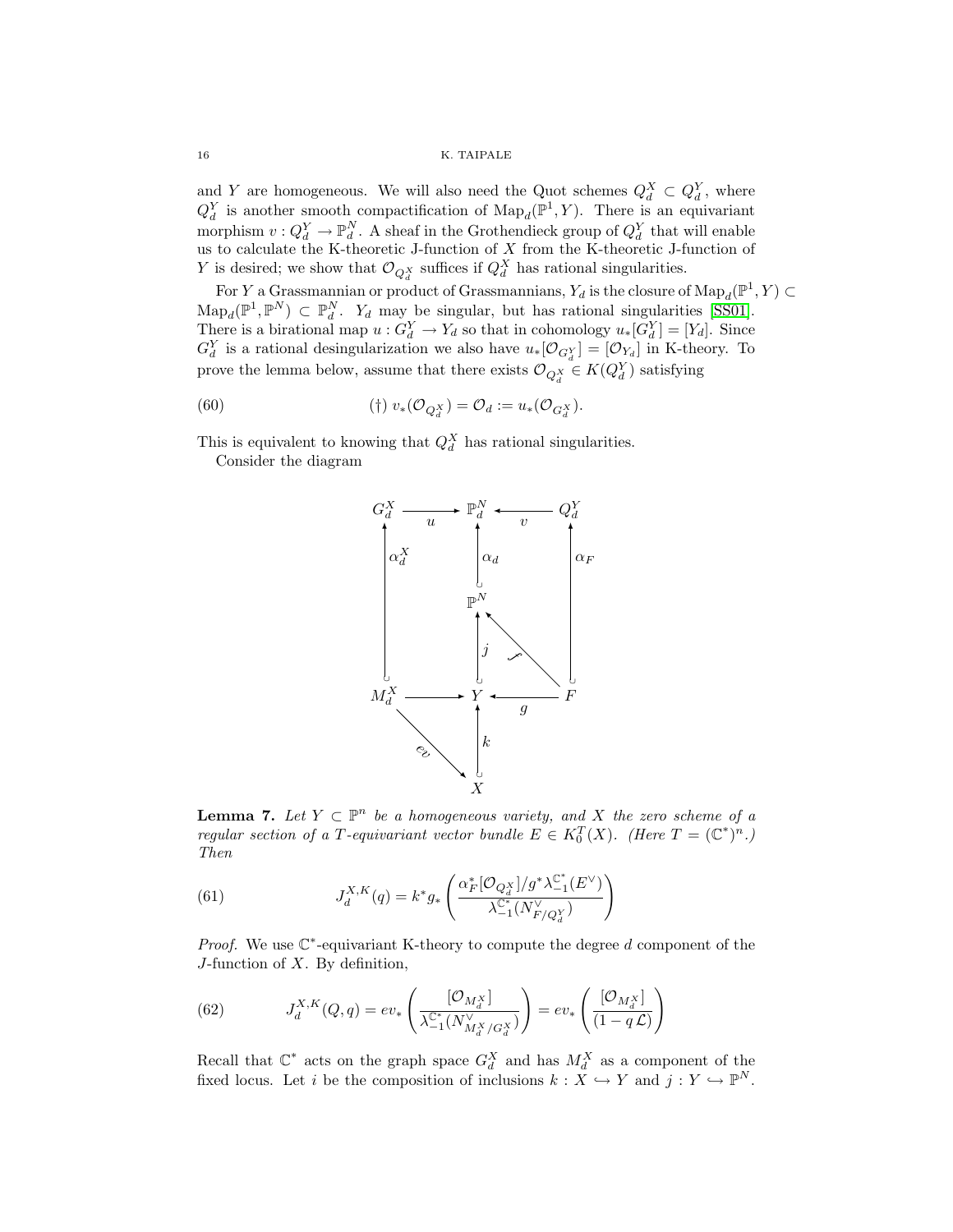16 K. TAIPALE

and Y are homogeneous. We will also need the Quot schemes  $Q_d^X \subset Q_d^Y$ , where  $Q_d^Y$  is another smooth compactification of  $\text{Map}_d(\mathbb{P}^1, Y)$ . There is an equivariant morphism  $v: Q_d^Y \to \mathbb{P}_d^N$ . A sheaf in the Grothendieck group of  $Q_d^Y$  that will enable us to calculate the K-theoretic J-function of X from the K-theoretic J-function of Y is desired; we show that  $\mathcal{O}_{Q_d^X}$  suffices if  $Q_d^X$  has rational singularities.

For Y a Grassmannian or product of Grassmannians,  $Y_d$  is the closure of  $\text{Map}_d(\mathbb{P}^1, Y) \subset$  $\text{Map}_d(\mathbb{P}^1, \mathbb{P}^N) \subset \mathbb{P}_d^N$ .  $Y_d$  may be singular, but has rational singularities [\[SS01\]](#page-22-3). There is a birational map  $u: G_d^Y \to Y_d$  so that in cohomology  $u:[G_d^Y] = [Y_d]$ . Since  $G_d^Y$  is a rational desingularization we also have  $u_*[O_{G_d^Y}] = [O_{Y_d}]$  in K-theory. To prove the lemma below, assume that there exists  $\mathcal{O}_{Q_d^X} \in K(Q_d^Y)$  satisfying

(60) 
$$
(\dagger) v_*(\mathcal{O}_{Q_d^X}) = \mathcal{O}_d := u_*(\mathcal{O}_{G_d^X}).
$$

This is equivalent to knowing that  $Q_d^X$  has rational singularities.

Consider the diagram



**Lemma 7.** Let  $Y \subset \mathbb{P}^n$  be a homogeneous variety, and X the zero scheme of a regular section of a T-equivariant vector bundle  $E \in K_0^T(X)$ . (Here  $T = (\mathbb{C}^*)^n$ .) Then

(61) 
$$
J_d^{X,K}(q) = k^* g_* \left( \frac{\alpha_F^* [\mathcal{O}_{Q_d^X}] / g^* \lambda_{-1}^{\mathbb{C}^*}(E^{\vee})}{\lambda_{-1}^{\mathbb{C}^*}(N_{F/Q_d^Y}^{\vee})} \right)
$$

*Proof.* We use  $\mathbb{C}^*$ -equivariant K-theory to compute the degree d component of the  $J$ -function of  $X$ . By definition,

(62) 
$$
J_d^{X,K}(Q,q) = ev_*\left(\frac{[\mathcal{O}_{M_d^X}]}{\lambda_{-1}^{\mathbb{C}^*}(N_{M_d^X/G_d^X}^{\vee})}\right) = ev_*\left(\frac{[\mathcal{O}_{M_d^X}]}{(1-q\mathcal{L})}\right)
$$

Recall that  $\mathbb{C}^*$  acts on the graph space  $G_d^X$  and has  $M_d^X$  as a component of the fixed locus. Let i be the composition of inclusions  $k : X \hookrightarrow Y$  and  $j : Y \hookrightarrow \mathbb{P}^N$ .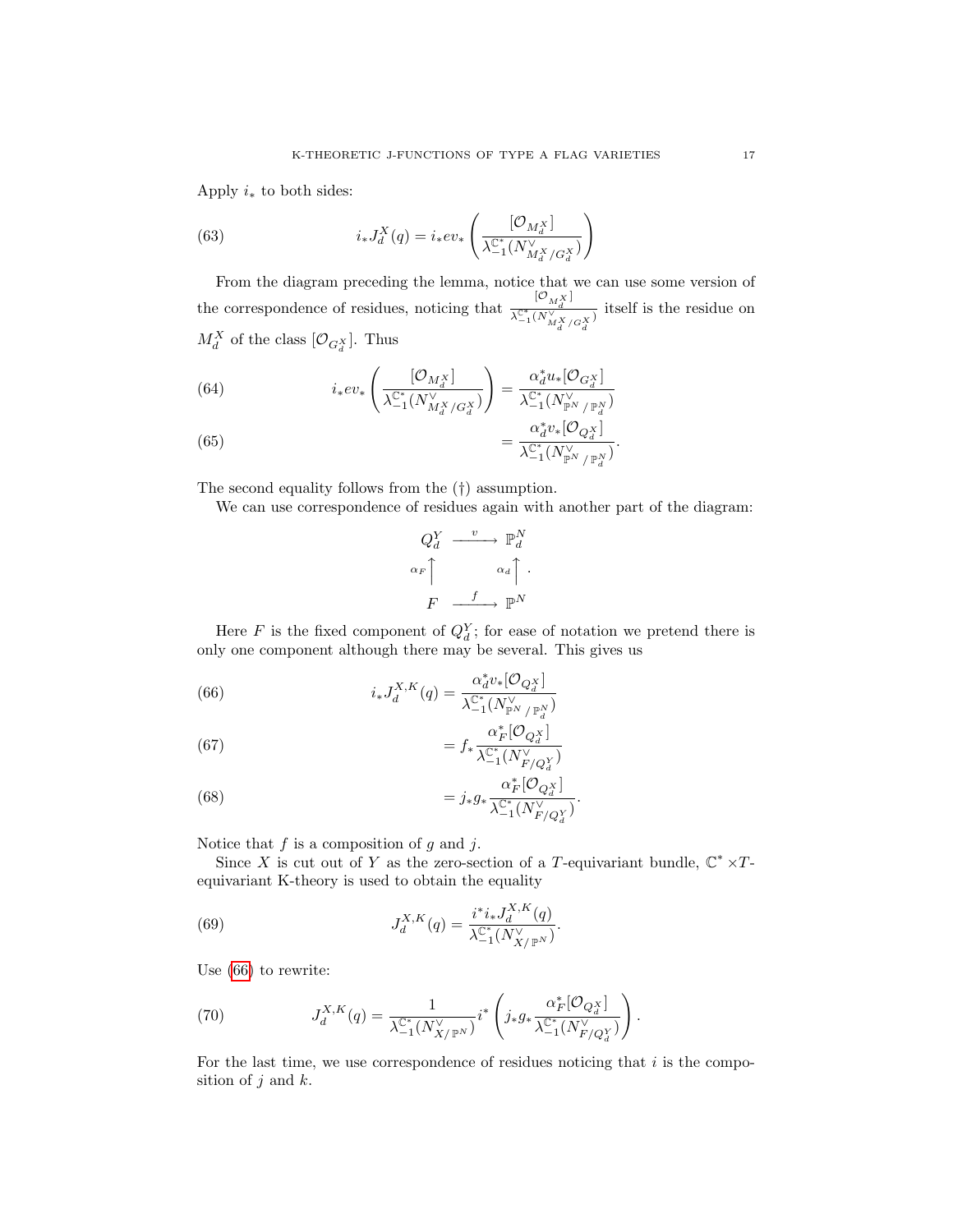Apply  $i_*$  to both sides:

(63) 
$$
i_{*}J_{d}^{X}(q) = i_{*}ev_{*}\left(\frac{[\mathcal{O}_{M_{d}^{X}}]}{\lambda_{-1}^{\mathbb{C}^{*}}(N_{M_{d}^{X}/G_{d}^{X}}^{Y})}\right)
$$

From the diagram preceding the lemma, notice that we can use some version of the correspondence of residues, noticing that  $\frac{[O_{M_X^X}]}{N^{\mathcal{C}^*}/N^{\mathcal{V}}}$  $\frac{\lambda_{-1}^{\mathbb{C}^*} (N_{M_d^X/G_d^X})}{\lambda_{-1}^{\mathbb{C}^*} (N_{M_d^X/G_d^X})}$  itself is the residue on  $M_d^X$  of the class  $[\mathcal{O}_{G_d^X}]$ . Thus

(64) 
$$
i_{*}ev_{*}\left(\frac{[\mathcal{O}_{M_{d}^{X}}]}{\lambda_{-1}^{\mathbb{C}^{*}}(N_{M_{d}^{X}/G_{d}^{X}}^{Y})}\right)=\frac{\alpha_{d}^{*}u_{*}[\mathcal{O}_{G_{d}^{X}}]}{\lambda_{-1}^{\mathbb{C}^{*}}(N_{\mathbb{P}^{N}/\mathbb{P}_{d}^{N}}^{Y})}
$$

(65) 
$$
= \frac{\alpha_d^* v_*[O_{Q_d^X}]}{\lambda_{-1}^{\mathbb{C}^*}(N_{\mathbb{P}^N/\mathbb{P}_d^N}^{\vee})}.
$$

The second equality follows from the (†) assumption.

We can use correspondence of residues again with another part of the diagram:

$$
Q_d^Y \xrightarrow{v} \mathbb{P}_d^N
$$

$$
\alpha_F \uparrow \qquad \alpha_d \uparrow.
$$

$$
F \xrightarrow{f} \mathbb{P}^N
$$

Here F is the fixed component of  $Q_d^Y$ ; for ease of notation we pretend there is only one component although there may be several. This gives us

<span id="page-16-0"></span>(66) 
$$
i_* J_d^{X,K}(q) = \frac{\alpha_d^* v_* [\mathcal{O}_{Q_d^X}]}{\lambda_{-1}^{\mathbb{C}^*} (N_{\mathbb{P}^N / \mathbb{P}_d^N}^{\vee})}
$$

(67) 
$$
= f_* \frac{\alpha_F^* [\mathcal{O}_{Q_d^X}]}{\lambda_{-1}^{\mathbb{C}^*} (N_{F/Q_d^Y}^{\vee})}
$$

(68) 
$$
= j_* g_* \frac{\alpha_F^* [\mathcal{O}_{Q_d^X}]}{\lambda_{-1}^{\mathbb{C}^*} (N_{F/Q_d^Y}^{\vee})}.
$$

Notice that  $f$  is a composition of  $g$  and  $j$ .

Since X is cut out of Y as the zero-section of a T-equivariant bundle,  $\mathbb{C}^* \times T$ equivariant K-theory is used to obtain the equality

(69) 
$$
J_d^{X,K}(q) = \frac{i^* i_* J_d^{X,K}(q)}{\lambda_{-1}^{C^*} (N_{X/\mathbb{P}^N}^{\vee})}.
$$

Use [\(66\)](#page-16-0) to rewrite:

(70) 
$$
J_d^{X,K}(q) = \frac{1}{\lambda_{-1}^{\mathbb{C}^*}(N_{X/\mathbb{P}^N}^{\vee})} i^* \left(j_* g_* \frac{\alpha_F^* [\mathcal{O}_{Q_d^X}]}{\lambda_{-1}^{\mathbb{C}^*}(N_{F/Q_d^Y}^{\vee})}\right).
$$

For the last time, we use correspondence of residues noticing that  $i$  is the composition of  $j$  and  $k$ .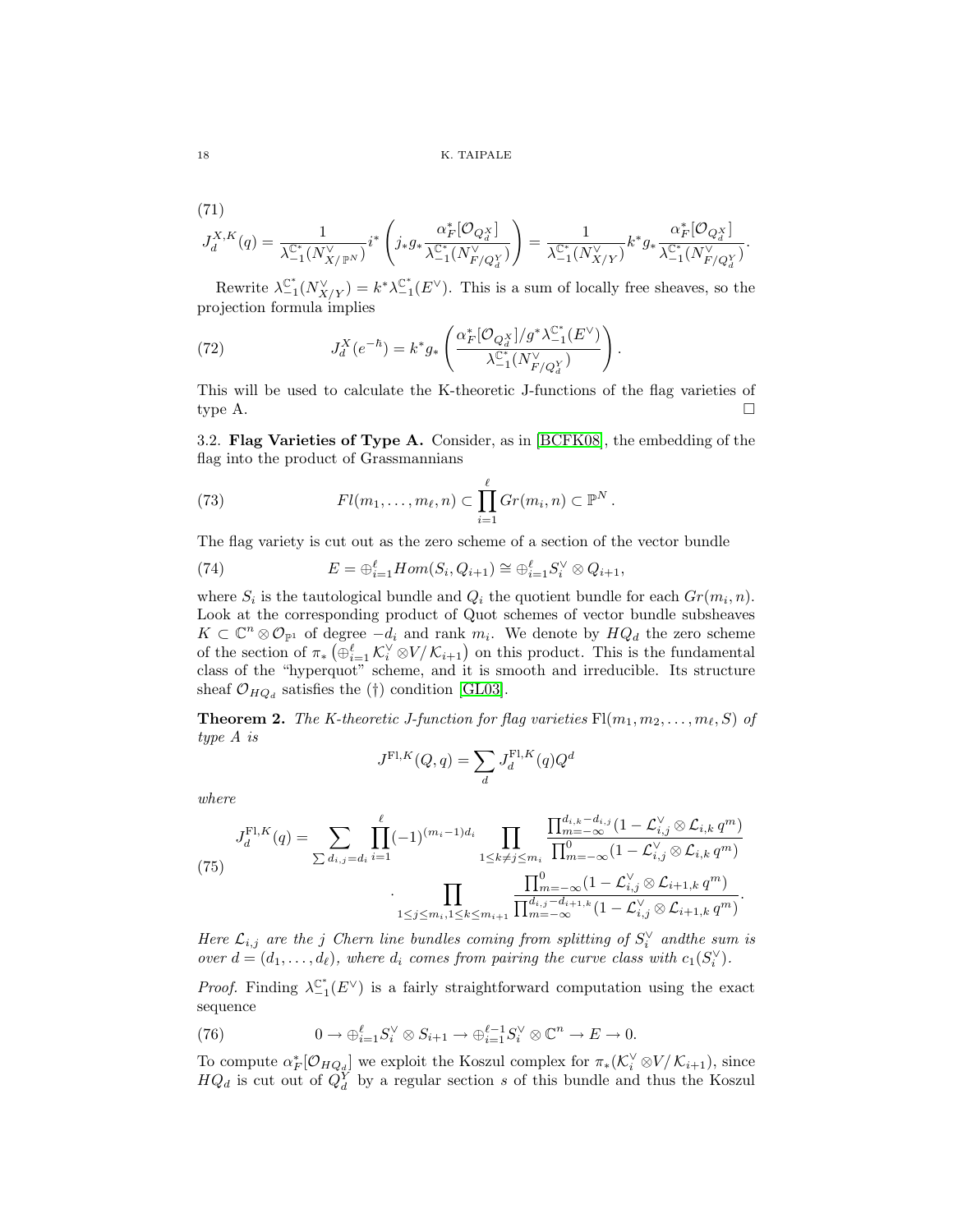(71)

$$
J_d^{X,K}(q)=\frac{1}{\lambda_{-1}^{\mathbb{C}^*}(N_{X/\mathbb{P}^N}^{\vee})}i^*\left(j_*g_*\frac{\alpha_F^*[\mathcal{O}_{Q_d^X}]}{\lambda_{-1}^{\mathbb{C}^*}(N_{F/Q_d^Y}^{\vee})}\right)=\frac{1}{\lambda_{-1}^{\mathbb{C}^*}(N_{X/Y}^{\vee})}k^*g_*\frac{\alpha_F^*[\mathcal{O}_{Q_d^X}]}{\lambda_{-1}^{\mathbb{C}^*}(N_{F/Q_d^Y}^{\vee})}.
$$

Rewrite  $\lambda_{-1}^{\mathbb{C}^*}(N_{X/Y}^{\vee}) = k^* \lambda_{-1}^{\mathbb{C}^*}(E^{\vee})$ . This is a sum of locally free sheaves, so the projection formula implies

(72) 
$$
J_d^X(e^{-\hbar}) = k^* g_* \left( \frac{\alpha_F^* [\mathcal{O}_{Q_d^X}] / g^* \lambda_{-1}^{\mathbb{C}^*}(E^{\vee})}{\lambda_{-1}^{\mathbb{C}^*}(N_{F/Q_d^Y}^{\vee})} \right).
$$

This will be used to calculate the K-theoretic J-functions of the flag varieties of type A.  $\Box$ 

<span id="page-17-0"></span>3.2. Flag Varieties of Type A. Consider, as in [\[BCFK08\]](#page-21-9), the embedding of the flag into the product of Grassmannians

(73) 
$$
Fl(m_1,\ldots,m_\ell,n)\subset \prod_{i=1}^\ell Gr(m_i,n)\subset \mathbb{P}^N.
$$

The flag variety is cut out as the zero scheme of a section of the vector bundle

(74) 
$$
E = \bigoplus_{i=1}^{\ell} Hom(S_i, Q_{i+1}) \cong \bigoplus_{i=1}^{\ell} S_i^{\vee} \otimes Q_{i+1},
$$

where  $S_i$  is the tautological bundle and  $Q_i$  the quotient bundle for each  $Gr(m_i, n)$ . Look at the corresponding product of Quot schemes of vector bundle subsheaves  $K \subset \mathbb{C}^n \otimes \mathcal{O}_{\mathbb{P}^1}$  of degree  $-d_i$  and rank  $m_i$ . We denote by  $HQ_d$  the zero scheme of the section of  $\pi_* \left( \bigoplus_{i=1}^{\ell} \mathcal{K}_i^{\vee} \otimes V \middle/ \mathcal{K}_{i+1} \right)$  on this product. This is the fundamental class of the "hyperquot" scheme, and it is smooth and irreducible. Its structure sheaf  $\mathcal{O}_{HQ_d}$  satisfies the (†) condition [\[GL03\]](#page-21-3).

**Theorem 2.** The K-theoretic J-function for flag varieties  $Fl(m_1, m_2, \ldots, m_\ell, S)$  of type A is

$$
J^{\mathrm{Fl}, K}(Q,q) = \sum_d J_d^{\mathrm{Fl}, K}(q) Q^d
$$

where

(75) 
$$
J_d^{\text{Fl},K}(q) = \sum_{\sum d_{i,j} = d_i} \prod_{i=1}^{\ell} (-1)^{(m_i - 1)d_i} \prod_{1 \le k \ne j \le m_i} \frac{\prod_{m=-\infty}^{d_{i,k} - d_{i,j}} (1 - \mathcal{L}_{i,j}^{\vee} \otimes \mathcal{L}_{i,k} q^m)}{\prod_{m=-\infty}^{0} (1 - \mathcal{L}_{i,j}^{\vee} \otimes \mathcal{L}_{i,k} q^m)} \cdot \prod_{1 \le j \le m_i, 1 \le k \le m_{i+1}} \frac{\prod_{m=-\infty}^{0} (1 - \mathcal{L}_{i,j}^{\vee} \otimes \mathcal{L}_{i+k} q^m)}{\prod_{m=-\infty}^{0} (1 - \mathcal{L}_{i,j}^{\vee} \otimes \mathcal{L}_{i+1,k} q^m)}.
$$

Here  $\mathcal{L}_{i,j}$  are the j Chern line bundles coming from splitting of  $S_i^{\vee}$  and the sum is over  $d = (d_1, \ldots, d_\ell)$ , where  $d_i$  comes from pairing the curve class with  $c_1(S_i^{\vee})$ .

*Proof.* Finding  $\lambda_{-1}^{\mathbb{C}^*}(E^{\vee})$  is a fairly straightforward computation using the exact sequence

(76) 
$$
0 \to \bigoplus_{i=1}^{\ell} S_i^{\vee} \otimes S_{i+1} \to \bigoplus_{i=1}^{\ell-1} S_i^{\vee} \otimes \mathbb{C}^n \to E \to 0.
$$

To compute  $\alpha_F^*[\mathcal{O}_{HQ_d}]$  we exploit the Koszul complex for  $\pi_*(\mathcal{K}_i^{\vee} \otimes V \mid \mathcal{K}_{i+1}),$  since  $HQ_d$  is cut out of  $Q_d^Y$  by a regular section s of this bundle and thus the Koszul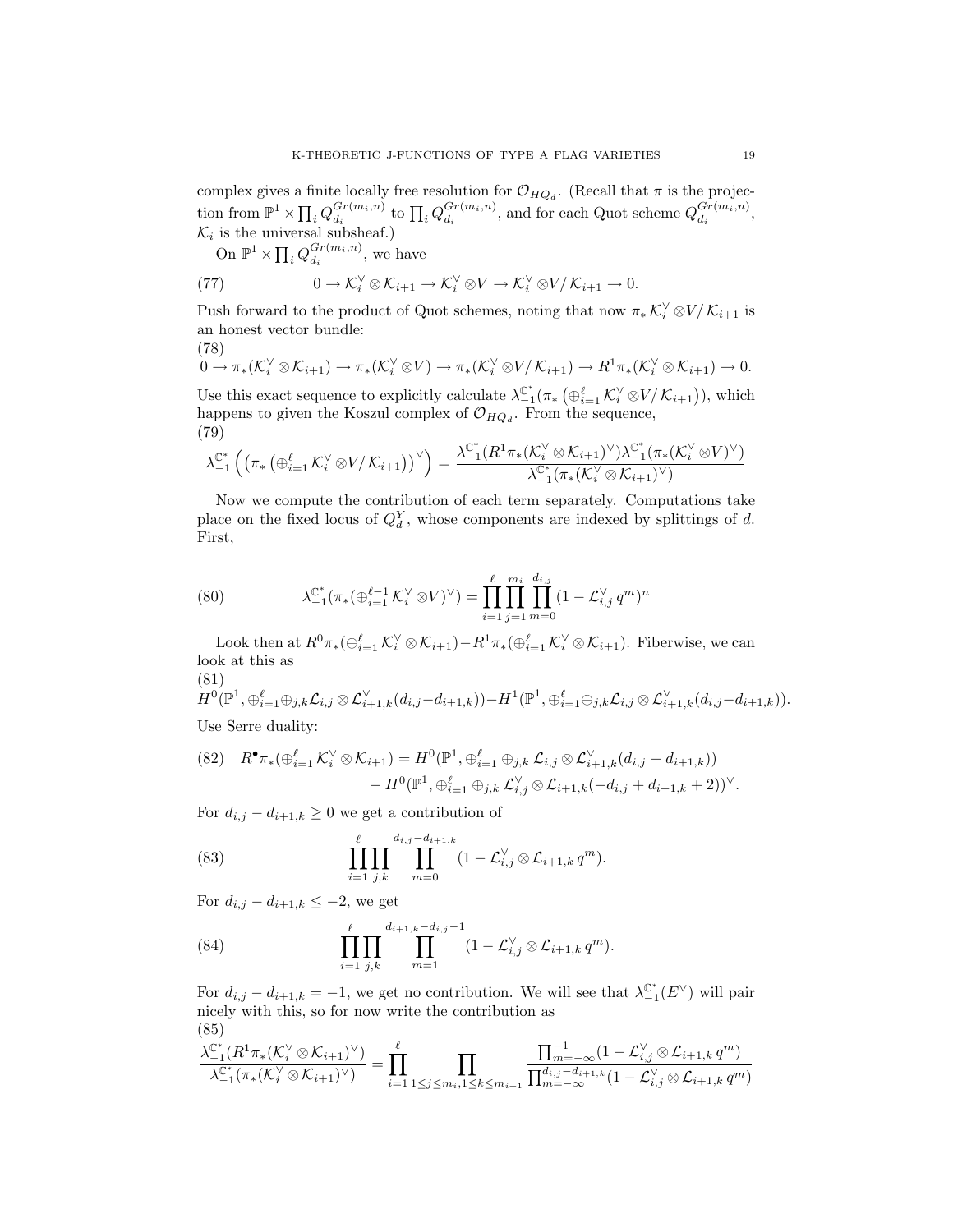complex gives a finite locally free resolution for  $\mathcal{O}_{HQ_d}$ . (Recall that  $\pi$  is the projection from  $\mathbb{P}^1 \times \prod_i Q_{d_i}^{Gr(m_i, n)}$  $\frac{Gr(m_i, n)}{d_i}$  to  $\prod_i Q_{d_i}^{Gr(m_i, n)}$  $\frac{Gr(m_i, n)}{d_i}$ , and for each Quot scheme  $Q_{d_i}^{Gr(m_i, n)}$  $\frac{Gr(m_i,n)}{d_i},$  $\mathcal{K}_i$  is the universal subsheaf.)

On 
$$
\mathbb{P}^1 \times \prod_i Q_{d_i}^{Gr(m_i, n)}
$$
, we have

(77) 
$$
0 \to \mathcal{K}_i^{\vee} \otimes \mathcal{K}_{i+1} \to \mathcal{K}_i^{\vee} \otimes V \to \mathcal{K}_i^{\vee} \otimes V / \mathcal{K}_{i+1} \to 0.
$$

Push forward to the product of Quot schemes, noting that now  $\pi_* \mathcal{K}_i^{\vee} \otimes V/\mathcal{K}_{i+1}$  is an honest vector bundle:  $(78)$ 

$$
0 \to \pi_*(\mathcal{K}_i^{\vee} \otimes \mathcal{K}_{i+1}) \to \pi_*(\mathcal{K}_i^{\vee} \otimes V) \to \pi_*(\mathcal{K}_i^{\vee} \otimes V/\mathcal{K}_{i+1}) \to R^1\pi_*(\mathcal{K}_i^{\vee} \otimes \mathcal{K}_{i+1}) \to 0.
$$

Use this exact sequence to explicitly calculate  $\lambda_{-1}^{\mathbb{C}^*}(\pi_*\left(\bigoplus_{i=1}^\ell \mathcal{K}_i^\vee \otimes V/\mathcal{K}_{i+1})\right))$ , which happens to given the Koszul complex of  $\mathcal{O}_{HQ_d}$ . From the sequence, (79)

$$
\lambda_{-1}^{\mathbb{C}^*}\left( \left(\pi_*\left(\oplus_{i=1}^\ell \mathcal{K}_i^\vee \otimes V\middle/\mathcal{K}_{i+1}\right)\right)^\vee \right) = \frac{\lambda_{-1}^{\mathbb{C}^*}(R^1\pi_*(\mathcal{K}_i^\vee \otimes \mathcal{K}_{i+1})^\vee)\lambda_{-1}^{\mathbb{C}^*}(\pi_*(\mathcal{K}_i^\vee \otimes V)^\vee)}{\lambda_{-1}^{\mathbb{C}^*}(\pi_*(\mathcal{K}_i^\vee \otimes \mathcal{K}_{i+1})^\vee)}
$$

Now we compute the contribution of each term separately. Computations take place on the fixed locus of  $Q_d^Y$ , whose components are indexed by splittings of d. First,

(80) 
$$
\lambda_{-1}^{\mathbb{C}^*}(\pi_*(\bigoplus_{i=1}^{\ell-1} \mathcal{K}_i^{\vee} \otimes V)^{\vee}) = \prod_{i=1}^{\ell} \prod_{j=1}^{m_i} \prod_{m=0}^{d_{i,j}} (1 - \mathcal{L}_{i,j}^{\vee} q^m)^n
$$

Look then at  $R^0\pi_*(\bigoplus_{i=1}^{\ell} \mathcal{K}_i^{\vee} \otimes \mathcal{K}_{i+1}) - R^1\pi_*(\bigoplus_{i=1}^{\ell} \mathcal{K}_i^{\vee} \otimes \mathcal{K}_{i+1})$ . Fiberwise, we can look at this as (81)

$$
H^0(\mathbb{P}^1, \oplus_{i=1}^\ell \oplus_{j,k} \mathcal{L}_{i,j} \otimes \mathcal{L}_{i+1,k}^\vee(d_{i,j} - d_{i+1,k})) - H^1(\mathbb{P}^1, \oplus_{i=1}^\ell \oplus_{j,k} \mathcal{L}_{i,j} \otimes \mathcal{L}_{i+1,k}^\vee(d_{i,j} - d_{i+1,k})).
$$
  
Use Serre duality:

Use Serre duality:

$$
(82) \quad R^{\bullet}\pi_{*}(\bigoplus_{i=1}^{\ell} \mathcal{K}_{i}^{\vee} \otimes \mathcal{K}_{i+1}) = H^{0}(\mathbb{P}^{1}, \bigoplus_{i=1}^{\ell} \bigoplus_{j,k} \mathcal{L}_{i,j} \otimes \mathcal{L}_{i+1,k}^{\vee}(d_{i,j} - d_{i+1,k})) - H^{0}(\mathbb{P}^{1}, \bigoplus_{i=1}^{\ell} \bigoplus_{j,k} \mathcal{L}_{i,j}^{\vee} \otimes \mathcal{L}_{i+1,k}(-d_{i,j} + d_{i+1,k} + 2))^{\vee}.
$$

For  $d_{i,j} - d_{i+1,k} \geq 0$  we get a contribution of

(83) 
$$
\prod_{i=1}^{\ell} \prod_{j,k} \prod_{m=0}^{d_{i,j}-d_{i+1,k}} (1-\mathcal{L}_{i,j}^{\vee} \otimes \mathcal{L}_{i+1,k} q^m).
$$

For  $d_{i,j} - d_{i+1,k} \leq -2$ , we get

(84) 
$$
\prod_{i=1}^{\ell} \prod_{j,k} \prod_{m=1}^{d_{i+1,k}-d_{i,j}-1} (1-\mathcal{L}_{i,j}^{\vee} \otimes \mathcal{L}_{i+1,k} q^m).
$$

For  $d_{i,j} - d_{i+1,k} = -1$ , we get no contribution. We will see that  $\lambda_{-1}^{\mathbb{C}^*}(E^{\vee})$  will pair nicely with this, so for now write the contribution as (85)

$$
\frac{\lambda_{-1}^{\mathbb{C}^*}(R^1\pi_*(\mathcal{K}_i^{\vee}\otimes\mathcal{K}_{i+1})^{\vee})}{\lambda_{-1}^{\mathbb{C}^*}(\pi_*(\mathcal{K}_i^{\vee}\otimes\mathcal{K}_{i+1})^{\vee})} = \prod_{i=1}^{\ell} \prod_{1 \leq j \leq m_i, 1 \leq k \leq m_{i+1}} \frac{\prod_{m=-\infty}^{-1} (1 - \mathcal{L}_{i,j}^{\vee}\otimes\mathcal{L}_{i+1,k} q^m)}{\prod_{m=-\infty}^{d_{i,j} - d_{i+1,k}} (1 - \mathcal{L}_{i,j}^{\vee}\otimes\mathcal{L}_{i+1,k} q^m)}
$$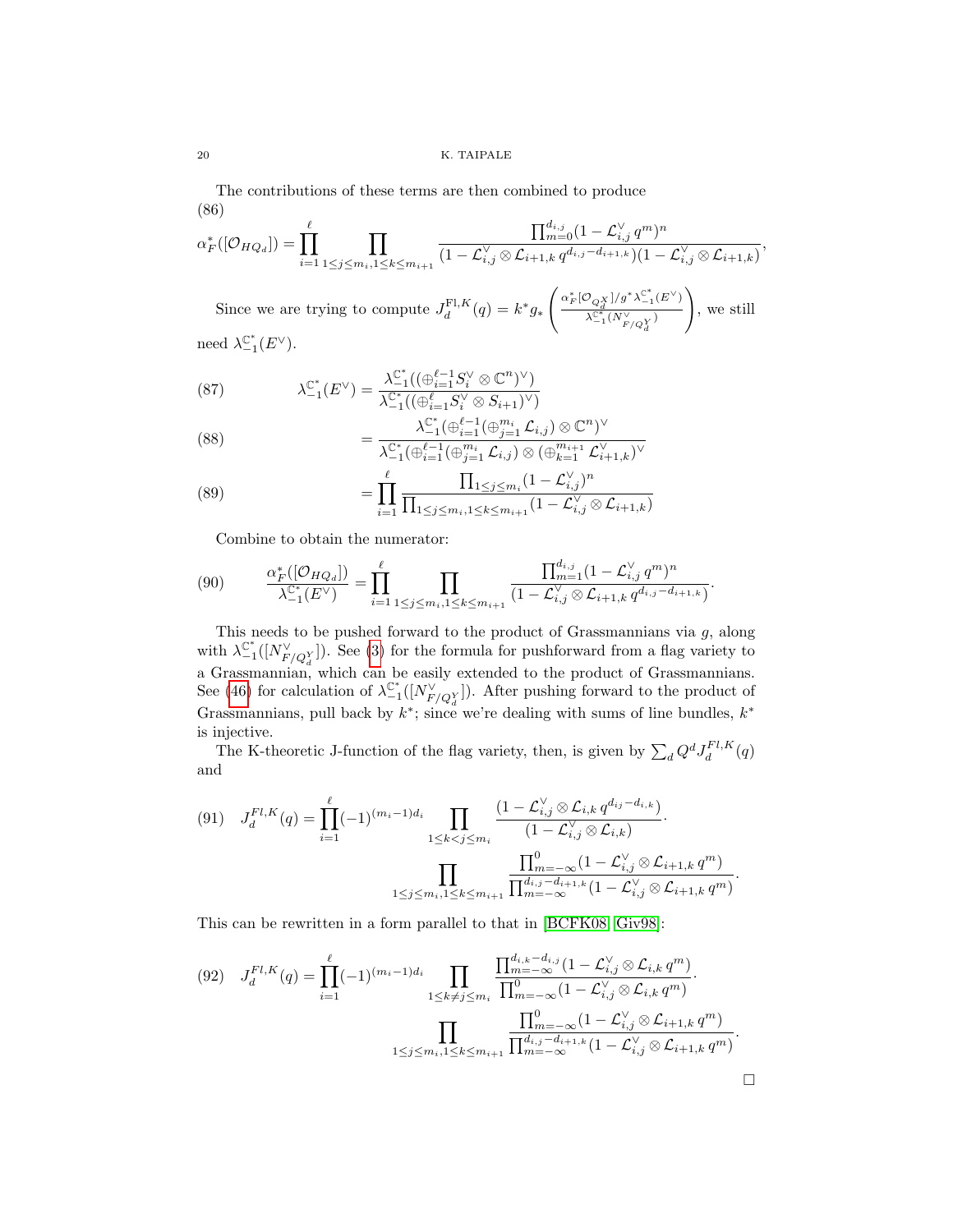The contributions of these terms are then combined to produce (86)

$$
\alpha_F^*([\mathcal{O}_{HQ_d}]) = \prod_{i=1}^{\ell} \prod_{1 \leq j \leq m_i, 1 \leq k \leq m_{i+1}} \frac{\prod_{m=0}^{d_{i,j}} (1 - \mathcal{L}_{i,j}^{\vee} q^m)^n}{(1 - \mathcal{L}_{i,j}^{\vee} \otimes \mathcal{L}_{i+1,k} q^{d_{i,j} - d_{i+1,k}})(1 - \mathcal{L}_{i,j}^{\vee} \otimes \mathcal{L}_{i+1,k})},
$$

Since we are trying to compute  $J_d^{\text{FI},K}(q) = k^* g_*$  $\int \underline{\alpha_F^*[\mathcal{O}_{Q_d^X}]}/g^*\lambda_{-1}^{\mathbb{C}^*}(E^\vee)$  $\lambda_{-1}^{\mathbb{C}^*}(N_{F/Q}^{\vee})$  $\setminus$ , we still need  $\lambda_{-1}^{\mathbb{C}^*}(E^{\vee}).$ 

(87) 
$$
\lambda_{-1}^{\mathbb{C}^*}(E^{\vee}) = \frac{\lambda_{-1}^{\mathbb{C}^*}((\bigoplus_{i=1}^{\ell-1} S_i^{\vee} \otimes \mathbb{C}^n)^{\vee})}{\lambda_{-1}^{\mathbb{C}^*}((\bigoplus_{i=1}^{\ell} S_i^{\vee} \otimes S_{i+1})^{\vee})}
$$

$$
\lambda_{-1}^{\mathbb{C}^*}(\bigoplus_{i=1}^{\ell-1} (\bigoplus_{j=1}^{m_i} \mathcal{L}_{i,j}) \otimes \mathbb{C}
$$

(88) 
$$
= \frac{\lambda_{-1}^{\mathbb{C}^*}(\bigoplus_{i=1}^{\ell-1}(\bigoplus_{j=1}^{m_i} \mathcal{L}_{i,j}) \otimes \mathbb{C}^n)^{\vee}}{\lambda_{-1}^{\mathbb{C}^*}(\bigoplus_{i=1}^{\ell-1}(\bigoplus_{j=1}^{m_i} \mathcal{L}_{i,j}) \otimes (\bigoplus_{k=1}^{m_{i+1}} \mathcal{L}_{i+1,k}^{\vee})^{\vee}}
$$

(89) 
$$
= \prod_{i=1}^{\ell} \frac{\prod_{1 \leq j \leq m_i} (1 - \mathcal{L}_{i,j}^{\vee})^n}{\prod_{1 \leq j \leq m_i, 1 \leq k \leq m_{i+1}} (1 - \mathcal{L}_{i,j}^{\vee} \otimes \mathcal{L}_{i+1,k})}
$$

Combine to obtain the numerator:

$$
(90) \qquad \frac{\alpha_F^*([\mathcal{O}_{HQ_d}])}{\lambda_{-1}^{\mathbb{C}^*}(E^{\vee})} = \prod_{i=1}^{\ell} \prod_{1 \leq j \leq m_i, 1 \leq k \leq m_{i+1}} \frac{\prod_{m=1}^{d_{i,j}} (1 - \mathcal{L}_{i,j}^{\vee} q^m)^n}{(1 - \mathcal{L}_{i,j}^{\vee} \otimes \mathcal{L}_{i+1,k} q^{d_{i,j} - d_{i+1,k}})}.
$$

This needs to be pushed forward to the product of Grassmannians via  $g$ , along with  $\lambda_{-1}^{\mathbb{C}^*}([N_{F/Q_X^Y}^{\vee}])$ . See [\(3\)](#page-7-0) for the formula for pushforward from a flag variety to a Grassmannian, which can be easily extended to the product of Grassmannians. See [\(46\)](#page-12-0) for calculation of  $\lambda_{-1}^{\mathbb{C}^*}([N_{F/Q_d^Y}^{\vee}])$ . After pushing forward to the product of Grassmannians, pull back by  $k^*$ ; since we're dealing with sums of line bundles,  $k^*$ is injective.

The K-theoretic J-function of the flag variety, then, is given by  $\sum_d Q^d J_d^{Fl,K}(q)$ and

$$
(91) \quad J_d^{Fl,K}(q) = \prod_{i=1}^{\ell} (-1)^{(m_i - 1)d_i} \prod_{1 \le k < j \le m_i} \frac{\left(1 - \mathcal{L}_{i,j}^{\vee} \otimes \mathcal{L}_{i,k} q^{d_{ij} - d_{i,k}}\right)}{\left(1 - \mathcal{L}_{i,j}^{\vee} \otimes \mathcal{L}_{i,k}\right)} \cdot \prod_{1 \le j \le m_i, 1 \le k \le m_{i+1}} \frac{\prod_{m=-\infty}^{0} (1 - \mathcal{L}_{i,j}^{\vee} \otimes \mathcal{L}_{i+1,k} q^m)}{\prod_{m=-\infty}^{d_{i,j} - d_{i+1,k}} \left(1 - \mathcal{L}_{i,j}^{\vee} \otimes \mathcal{L}_{i+1,k} q^m\right)}.
$$

This can be rewritten in a form parallel to that in [\[BCFK08,](#page-21-9) [Giv98\]](#page-21-1):

$$
(92) \quad J_d^{Fl,K}(q) = \prod_{i=1}^{\ell} (-1)^{(m_i - 1)d_i} \prod_{1 \le k \ne j \le m_i} \frac{\prod_{m=-\infty}^{d_{i,k} - d_{i,j}} (1 - \mathcal{L}_{i,j}^{\vee} \otimes \mathcal{L}_{i,k} q^m)}{\prod_{m=-\infty}^{0} (1 - \mathcal{L}_{i,j}^{\vee} \otimes \mathcal{L}_{i,k} q^m)} \cdot \prod_{1 \le j \le m_i, 1 \le k \le m_{i+1}} \frac{\prod_{m=-\infty}^{0} (1 - \mathcal{L}_{i,j}^{\vee} \otimes \mathcal{L}_{i,k} q^m)}{\prod_{m=-\infty}^{d_{i,j} - d_{i+1,k}} (1 - \mathcal{L}_{i,j}^{\vee} \otimes \mathcal{L}_{i+1,k} q^m)} \cdot \square
$$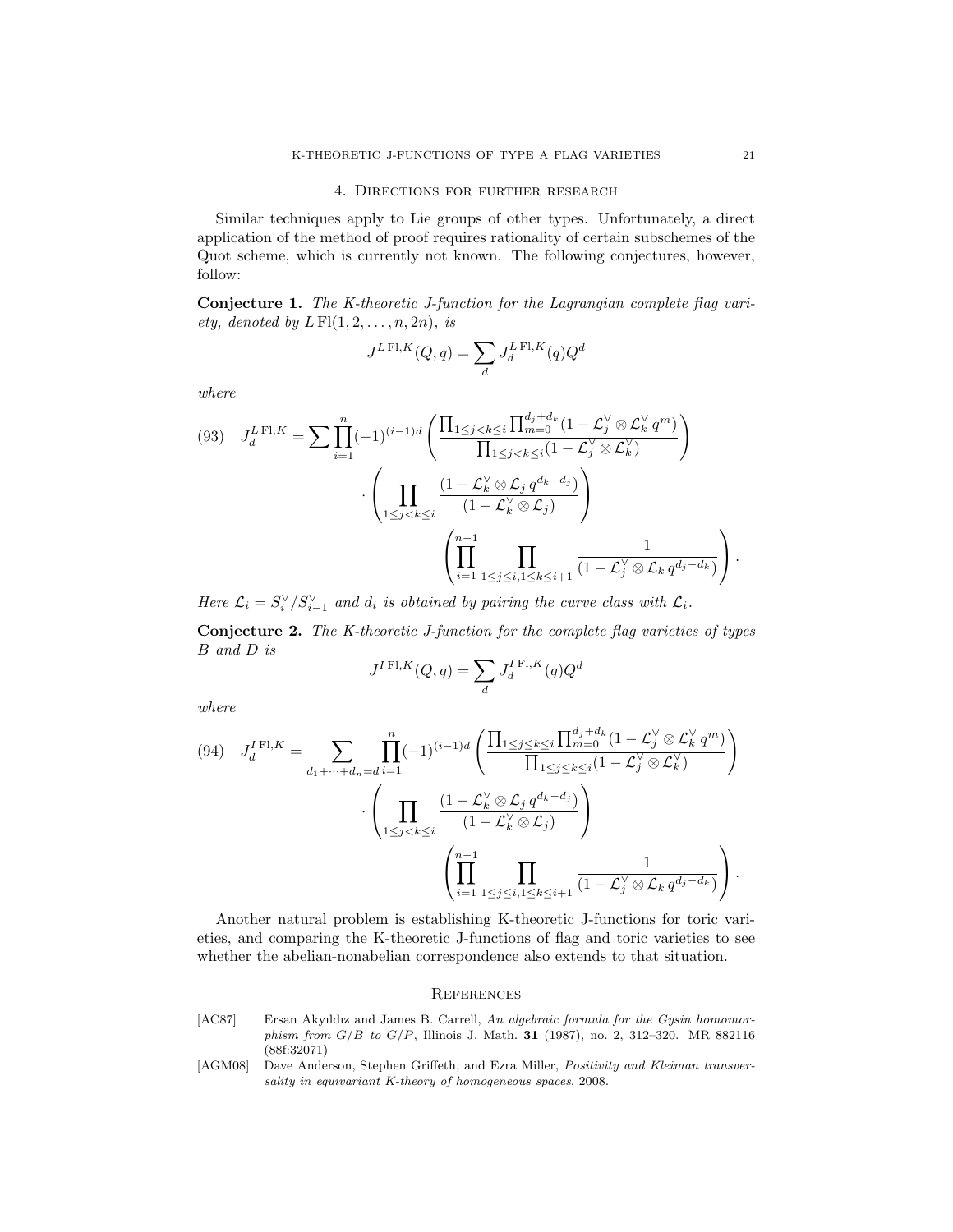#### 4. Directions for further research

<span id="page-20-0"></span>Similar techniques apply to Lie groups of other types. Unfortunately, a direct application of the method of proof requires rationality of certain subschemes of the Quot scheme, which is currently not known. The following conjectures, however, follow:

Conjecture 1. The K-theoretic J-function for the Lagrangian complete flag variety, denoted by  $L\operatorname{Fl}(1, 2, \ldots, n, 2n)$ , is

$$
J^{L\operatorname{Fl},K}(Q,q) = \sum_{d} J_d^{L\operatorname{Fl},K}(q)Q^d
$$

where

$$
(93) \quad J_d^{L \operatorname{Fl}, K} = \sum \prod_{i=1}^n (-1)^{(i-1)d} \left( \frac{\prod_{1 \le j < k \le i} \prod_{m=0}^{d_j + d_k} (1 - \mathcal{L}_j^{\vee} \otimes \mathcal{L}_k^{\vee} q^m)}{\prod_{1 \le j < k \le i} (1 - \mathcal{L}_j^{\vee} \otimes \mathcal{L}_k^{\vee})} \right) \cdot \left( \prod_{1 \le j < k \le i} \frac{(1 - \mathcal{L}_k^{\vee} \otimes \mathcal{L}_j q^{d_k - d_j})}{(1 - \mathcal{L}_k^{\vee} \otimes \mathcal{L}_j)} \right) \cdot \left( \prod_{i=1}^{n-1} \prod_{1 \le j \le i, 1 \le k \le i+1} \frac{1}{(1 - \mathcal{L}_j^{\vee} \otimes \mathcal{L}_k q^{d_j - d_k})} \right).
$$

Here  $\mathcal{L}_i = S_i^{\vee}/S_{i-1}^{\vee}$  and  $d_i$  is obtained by pairing the curve class with  $\mathcal{L}_i$ .

Conjecture 2. The K-theoretic J-function for the complete flag varieties of types B and D is

$$
J^{I \operatorname{Fl}, K}(Q, q) = \sum_{d} J^{I \operatorname{Fl}, K}_d(q) Q^d
$$

where

$$
(94) \quad J_d^{I \operatorname{Fl}, K} = \sum_{d_1 + \dots + d_n = d} \prod_{i=1}^n (-1)^{(i-1)d} \left( \frac{\prod_{1 \le j \le k \le i} \prod_{m=0}^{d_j + d_k} (1 - \mathcal{L}_j^{\vee} \otimes \mathcal{L}_k^{\vee} q^m)}{\prod_{1 \le j \le k \le i} (1 - \mathcal{L}_j^{\vee} \otimes \mathcal{L}_k^{\vee})} \right)
$$

$$
\cdot \left( \prod_{1 \le j < k \le i} \frac{(1 - \mathcal{L}_k^{\vee} \otimes \mathcal{L}_j q^{d_k - d_j})}{(1 - \mathcal{L}_k^{\vee} \otimes \mathcal{L}_j)} \right)
$$

$$
\left( \prod_{i=1}^{n-1} \prod_{1 \le j \le i, 1 \le k \le i+1} \frac{1}{(1 - \mathcal{L}_j^{\vee} \otimes \mathcal{L}_k q^{d_j - d_k})} \right).
$$

Another natural problem is establishing K-theoretic J-functions for toric varieties, and comparing the K-theoretic J-functions of flag and toric varieties to see whether the abelian-nonabelian correspondence also extends to that situation.

### **REFERENCES**

- <span id="page-20-1"></span>[AC87] Ersan Akyıldız and James B. Carrell, An algebraic formula for the Gysin homomorphism from  $G/B$  to  $G/P$ , Illinois J. Math. 31 (1987), no. 2, 312-320. MR 882116 (88f:32071)
- <span id="page-20-2"></span>[AGM08] Dave Anderson, Stephen Griffeth, and Ezra Miller, Positivity and Kleiman transversality in equivariant K-theory of homogeneous spaces, 2008.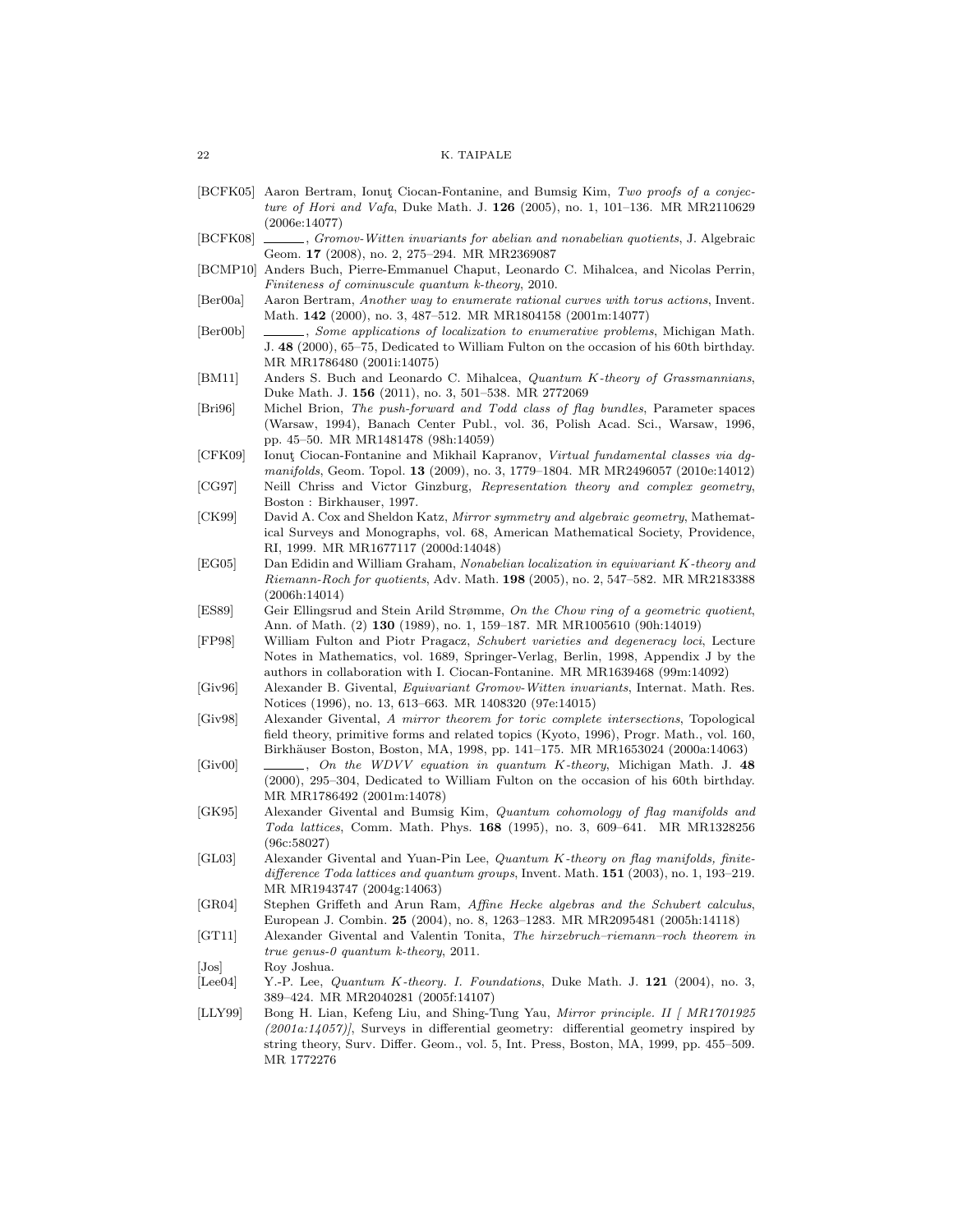- <span id="page-21-2"></span>[BCFK05] Aaron Bertram, Ionut Ciocan-Fontanine, and Bumsig Kim, Two proofs of a conjecture of Hori and Vafa, Duke Math. J. 126 (2005), no. 1, 101-136. MR MR2110629 (2006e:14077)
- <span id="page-21-9"></span>[BCFK08] , Gromov-Witten invariants for abelian and nonabelian quotients, J. Algebraic Geom. 17 (2008), no. 2, 275–294. MR MR2369087
- <span id="page-21-8"></span>[BCMP10] Anders Buch, Pierre-Emmanuel Chaput, Leonardo C. Mihalcea, and Nicolas Perrin, Finiteness of cominuscule quantum k-theory, 2010.
- <span id="page-21-10"></span>[Ber00a] Aaron Bertram, Another way to enumerate rational curves with torus actions, Invent. Math. 142 (2000), no. 3, 487–512. MR MR1804158 (2001m:14077)
- <span id="page-21-18"></span>[Ber00b] , Some applications of localization to enumerative problems, Michigan Math. J. 48 (2000), 65–75, Dedicated to William Fulton on the occasion of his 60th birthday. MR MR1786480 (2001i:14075)
- <span id="page-21-7"></span>[BM11] Anders S. Buch and Leonardo C. Mihalcea, Quantum K-theory of Grassmannians, Duke Math. J. 156 (2011), no. 3, 501–538. MR 2772069
- <span id="page-21-20"></span>[Bri96] Michel Brion, The push-forward and Todd class of flag bundles, Parameter spaces (Warsaw, 1994), Banach Center Publ., vol. 36, Polish Acad. Sci., Warsaw, 1996, pp. 45–50. MR MR1481478 (98h:14059)
- <span id="page-21-17"></span>[CFK09] Ionut¸ Ciocan-Fontanine and Mikhail Kapranov, Virtual fundamental classes via dgmanifolds, Geom. Topol. 13 (2009), no. 3, 1779–1804. MR MR2496057 (2010e:14012)
- <span id="page-21-12"></span>[CG97] Neill Chriss and Victor Ginzburg, Representation theory and complex geometry, Boston : Birkhauser, 1997.
- <span id="page-21-11"></span>[CK99] David A. Cox and Sheldon Katz, Mirror symmetry and algebraic geometry, Mathematical Surveys and Monographs, vol. 68, American Mathematical Society, Providence, RI, 1999. MR MR1677117 (2000d:14048)
- <span id="page-21-13"></span>[EG05] Dan Edidin and William Graham, Nonabelian localization in equivariant K-theory and Riemann-Roch for quotients, Adv. Math. 198 (2005), no. 2, 547–582. MR MR2183388 (2006h:14014)
- <span id="page-21-14"></span>[ES89] Geir Ellingsrud and Stein Arild Strømme, On the Chow ring of a geometric quotient, Ann. of Math. (2) 130 (1989), no. 1, 159–187. MR MR1005610 (90h:14019)
- <span id="page-21-19"></span>[FP98] William Fulton and Piotr Pragacz, Schubert varieties and degeneracy loci, Lecture Notes in Mathematics, vol. 1689, Springer-Verlag, Berlin, 1998, Appendix J by the authors in collaboration with I. Ciocan-Fontanine. MR MR1639468 (99m:14092)
- <span id="page-21-0"></span>[Giv96] Alexander B. Givental, Equivariant Gromov-Witten invariants, Internat. Math. Res. Notices (1996), no. 13, 613–663. MR 1408320 (97e:14015)
- <span id="page-21-1"></span>[Giv98] Alexander Givental, A mirror theorem for toric complete intersections, Topological field theory, primitive forms and related topics (Kyoto, 1996), Progr. Math., vol. 160, Birkh¨auser Boston, Boston, MA, 1998, pp. 141–175. MR MR1653024 (2000a:14063)
- <span id="page-21-5"></span>[Giv00]  $\qquad \qquad \qquad$ , On the WDVV equation in quantum K-theory, Michigan Math. J. 48 (2000), 295–304, Dedicated to William Fulton on the occasion of his 60th birthday. MR MR1786492 (2001m:14078)
- <span id="page-21-21"></span>[GK95] Alexander Givental and Bumsig Kim, Quantum cohomology of flag manifolds and Toda lattices, Comm. Math. Phys. 168 (1995), no. 3, 609–641. MR MR1328256 (96c:58027)
- <span id="page-21-3"></span>[GL03] Alexander Givental and Yuan-Pin Lee, Quantum K-theory on flag manifolds, finitedifference Toda lattices and quantum groups, Invent. Math. 151 (2003), no. 1, 193–219. MR MR1943747 (2004g:14063)
- <span id="page-21-22"></span>[GR04] Stephen Griffeth and Arun Ram, Affine Hecke algebras and the Schubert calculus, European J. Combin. 25 (2004), no. 8, 1263–1283. MR MR2095481 (2005h:14118)
- <span id="page-21-6"></span>[GT11] Alexander Givental and Valentin Tonita, The hirzebruch–riemann–roch theorem in true genus-0 quantum k-theory, 2011.
- <span id="page-21-16"></span>[Jos] Roy Joshua.
- <span id="page-21-4"></span>[Lee04] Y.-P. Lee, *Quantum K-theory. I. Foundations*, Duke Math. J. 121 (2004), no. 3, 389–424. MR MR2040281 (2005f:14107)
- <span id="page-21-15"></span>[LLY99] Bong H. Lian, Kefeng Liu, and Shing-Tung Yau, Mirror principle. II | MR1701925  $(2001a:14057)$ , Surveys in differential geometry: differential geometry inspired by string theory, Surv. Differ. Geom., vol. 5, Int. Press, Boston, MA, 1999, pp. 455–509. MR 1772276